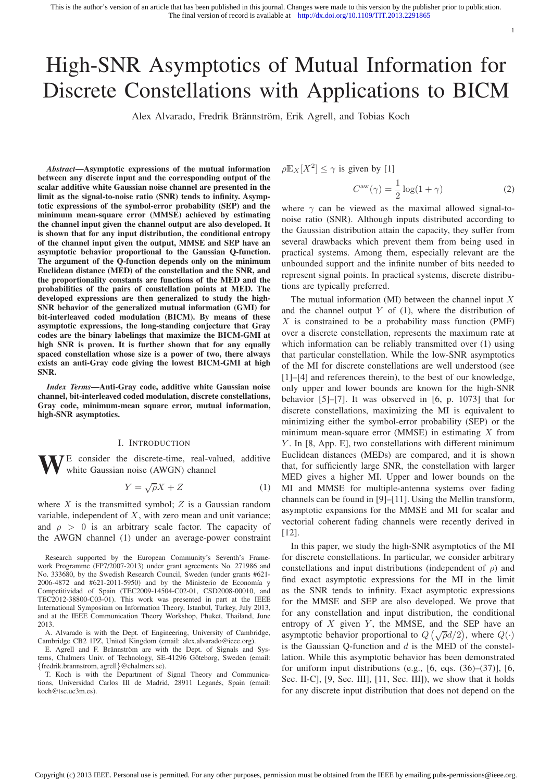# High-SNR Asymptotics of Mutual Information for Discrete Constellations with Applications to BICM

Alex Alvarado, Fredrik Brännström, Erik Agrell, and Tobias Koch

*Abstract*—Asymptotic expressions of the mutual information between any discrete input and the corresponding output of the scalar additive white Gaussian noise channel are presented in the limit as the signal-to-noise ratio (SNR) tends to infinity. Asymptotic expressions of the symbol-error probability (SEP) and the minimum mean-square error (MMSE) achieved by estimating the channel input given the channel output are also developed. It is shown that for any input distribution, the conditional entropy of the channel input given the output, MMSE and SEP have an asymptotic behavior proportional to the Gaussian Q-function. The argument of the Q-function depends only on the minimum Euclidean distance (MED) of the constellation and the SNR, and the proportionality constants are functions of the MED and the probabilities of the pairs of constellation points at MED. The developed expressions are then generalized to study the high-SNR behavior of the generalized mutual information (GMI) for bit-interleaved coded modulation (BICM). By means of these asymptotic expressions, the long-standing conjecture that Gray codes are the binary labelings that maximize the BICM-GMI at high SNR is proven. It is further shown that for any equally spaced constellation whose size is a power of two, there always exists an anti-Gray code giving the lowest BICM-GMI at high SNR.

*Index Terms*—Anti-Gray code, additive white Gaussian noise channel, bit-interleaved coded modulation, discrete constellations, Gray code, minimum-mean square error, mutual information, high-SNR asymptotics.

#### I. INTRODUCTION

 $\overline{DE}$  consider the discrete-time, real-valued, additive white Gaussian noise (AWGN) channel

$$
Y = \sqrt{\rho}X + Z \tag{1}
$$

where  $X$  is the transmitted symbol;  $Z$  is a Gaussian random variable, independent of  $X$ , with zero mean and unit variance; and  $\rho > 0$  is an arbitrary scale factor. The capacity of the AWGN channel (1) under an average-power constraint

Research supported by the European Community's Seventh's Framework Programme (FP7/2007-2013) under grant agreements No. 271986 and No. 333680, by the Swedish Research Council, Sweden (under grants #621-  $2006-4872$  and  $#621-2011-5950$  and by the Ministerio de Economía y Competitividad of Spain (TEC2009-14504-C02-01, CSD2008-00010, and TEC2012-38800-C03-01). This work was presented in part at the IEEE International Symposium on Information Theory, Istanbul, Turkey, July 2013, and at the IEEE Communication Theory Workshop, Phuket, Thailand, June 2013.

A. Alvarado is with the Dept. of Engineering, University of Cambridge, Cambridge CB2 1PZ, United Kingdom (email: alex.alvarado@ieee.org).

E. Agrell and F. Brännström are with the Dept. of Signals and Systems, Chalmers Univ. of Technology, SE-41296 Göteborg, Sweden (email: {fredrik.brannstrom, agrell}@chalmers.se).

T. Koch is with the Department of Signal Theory and Communications, Universidad Carlos III de Madrid, 28911 Leganés, Spain (email: koch@tsc.uc3m.es).

$$
\rho \mathbb{E}_X[X^2] \le \gamma \text{ is given by [1]}
$$

$$
C^{\text{aw}}(\gamma) = \frac{1}{2}\log(1+\gamma)
$$
 (2)

1

where  $\gamma$  can be viewed as the maximal allowed signal-tonoise ratio (SNR). Although inputs distributed according to the Gaussian distribution attain the capacity, they suffer from several drawbacks which prevent them from being used in practical systems. Among them, especially relevant are the unbounded support and the infinite number of bits needed to represent signal points. In practical systems, discrete distributions are typically preferred.

The mutual information (MI) between the channel input  $X$ and the channel output  $Y$  of (1), where the distribution of  $X$  is constrained to be a probability mass function (PMF) over a discrete constellation, represents the maximum rate at which information can be reliably transmitted over (1) using that particular constellation. While the low-SNR asymptotics of the MI for discrete constellations are well understood (see [1]–[4] and references therein), to the best of our knowledge, only upper and lower bounds are known for the high-SNR behavior [5]–[7]. It was observed in [6, p. 1073] that for discrete constellations, maximizing the MI is equivalent to minimizing either the symbol-error probability (SEP) or the minimum mean-square error (MMSE) in estimating  $X$  from Y. In [8, App. E], two constellations with different minimum Euclidean distances (MEDs) are compared, and it is shown that, for sufficiently large SNR, the constellation with larger MED gives a higher MI. Upper and lower bounds on the MI and MMSE for multiple-antenna systems over fading channels can be found in [9]–[11]. Using the Mellin transform, asymptotic expansions for the MMSE and MI for scalar and vectorial coherent fading channels were recently derived in [12].

In this paper, we study the high-SNR asymptotics of the MI for discrete constellations. In particular, we consider arbitrary constellations and input distributions (independent of  $\rho$ ) and find exact asymptotic expressions for the MI in the limit as the SNR tends to infinity. Exact asymptotic expressions for the MMSE and SEP are also developed. We prove that for any constellation and input distribution, the conditional entropy of  $X$  given  $Y$ , the MMSE, and the SEP have an asymptotic behavior proportional to  $Q(\sqrt{\rho}d/2)$ , where  $Q(\cdot)$ is the Gaussian O-function and  $d$  is the MED of the constellation. While this asymptotic behavior has been demonstrated for uniform input distributions (e.g.,  $[6, \text{ eqs. } (36)–(37)]$ ,  $[6, \text{ eqs. } (36)$ Sec. II-C], [9, Sec. III], [11, Sec. III]), we show that it holds for any discrete input distribution that does not depend on the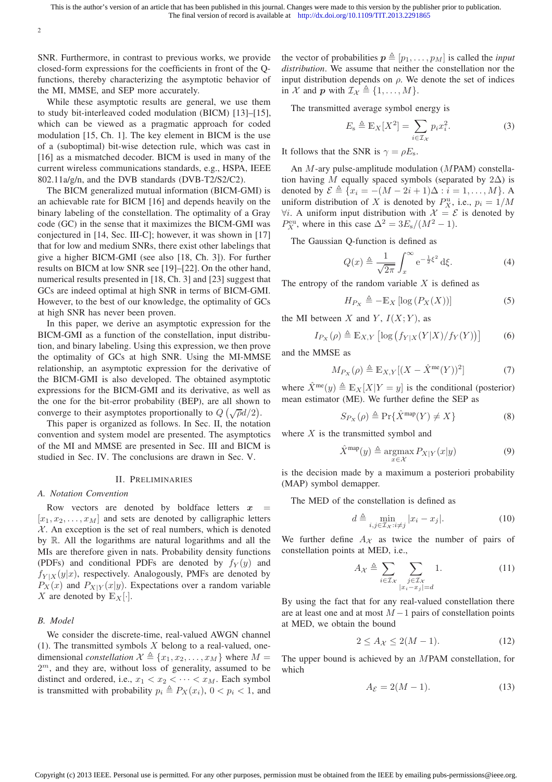SNR. Furthermore, in contrast to previous works, we provide closed-form expressions for the coefficients in front of the Qfunctions, thereby characterizing the asymptotic behavior of the MI, MMSE, and SEP more accurately.

2

While these asymptotic results are general, we use them to study bit-interleaved coded modulation (BICM) [13]–[15], which can be viewed as a pragmatic approach for coded modulation [15, Ch. 1]. The key element in BICM is the use of a (suboptimal) bit-wise detection rule, which was cast in [16] as a mismatched decoder. BICM is used in many of the current wireless communications standards, e.g., HSPA, IEEE 802.11a/g/n, and the DVB standards (DVB-T2/S2/C2).

The BICM generalized mutual information (BICM-GMI) is an achievable rate for BICM [16] and depends heavily on the binary labeling of the constellation. The optimality of a Gray code (GC) in the sense that it maximizes the BICM-GMI was conjectured in [14, Sec. III-C]; however, it was shown in [17] that for low and medium SNRs, there exist other labelings that give a higher BICM-GMI (see also [18, Ch. 3]). For further results on BICM at low SNR see [19]–[22]. On the other hand, numerical results presented in [18, Ch. 3] and [23] suggest that GCs are indeed optimal at high SNR in terms of BICM-GMI. However, to the best of our knowledge, the optimality of GCs at high SNR has never been proven.

In this paper, we derive an asymptotic expression for the BICM-GMI as a function of the constellation, input distribution, and binary labeling. Using this expression, we then prove the optimality of GCs at high SNR. Using the MI-MMSE relationship, an asymptotic expression for the derivative of the BICM-GMI is also developed. The obtained asymptotic expressions for the BICM-GMI and its derivative, as well as the one for the bit-error probability (BEP), are all shown to converge to their asymptotes proportionally to  $Q(\sqrt{\rho}d/2)$ .

This paper is organized as follows. In Sec. II, the notation convention and system model are presented. The asymptotics of the MI and MMSE are presented in Sec. III and BICM is studied in Sec. IV. The conclusions are drawn in Sec. V.

#### II. PRELIMINARIES

#### *A. Notation Convention*

Row vectors are denoted by boldface letters  $x$  $[x_1, x_2, \ldots, x_M]$  and sets are denoted by calligraphic letters  $X$ . An exception is the set of real numbers, which is denoted by R. All the logarithms are natural logarithms and all the MIs are therefore given in nats. Probability density functions (PDFs) and conditional PDFs are denoted by  $f_Y(y)$  and  $f_{Y|X}(y|x)$ , respectively. Analogously, PMFs are denoted by  $P_X(x)$  and  $P_{X|Y}(x|y)$ . Expectations over a random variable X are denoted by  $\mathbb{E}_X[\cdot]$ .

# *B. Model*

We consider the discrete-time, real-valued AWGN channel (1). The transmitted symbols  $X$  belong to a real-valued, onedimensional *constellation*  $\mathcal{X} \triangleq \{x_1, x_2, \dots, x_M\}$  where  $M =$  $2<sup>m</sup>$ , and they are, without loss of generality, assumed to be distinct and ordered, i.e.,  $x_1 < x_2 < \cdots < x_M$ . Each symbol is transmitted with probability  $p_i \triangleq P_X(x_i)$ ,  $0 < p_i < 1$ , and the vector of probabilities  $p \triangleq [p_1, \ldots, p_M]$  is called the *input distribution*. We assume that neither the constellation nor the input distribution depends on  $\rho$ . We denote the set of indices in X and p with  $\mathcal{I}_{\mathcal{X}} \triangleq \{1, \ldots, M\}.$ 

The transmitted average symbol energy is

$$
E_{\rm s} \triangleq \mathbb{E}_X[X^2] = \sum_{i \in \mathcal{I}_X} p_i x_i^2. \tag{3}
$$

It follows that the SNR is  $\gamma = \rho E_s$ .

An M-ary pulse-amplitude modulation (MPAM) constellation having M equally spaced symbols (separated by  $2\Delta$ ) is denoted by  $\mathcal{E} \triangleq \{x_i = -(M - 2i + 1)\Delta : i = 1, ..., M\}$ . A uniform distribution of X is denoted by  $P_X^{\text{u}}$ , i.e.,  $p_i = 1/M$  $\forall i$ . A uniform input distribution with  $\mathcal{X} = \mathcal{E}$  is denoted by  $P_X^{\text{eu}}$ , where in this case  $\Delta^2 = 3E_s/(M^2 - 1)$ .

The Gaussian Q-function is defined as

$$
Q(x) \triangleq \frac{1}{\sqrt{2\pi}} \int_{x}^{\infty} e^{-\frac{1}{2}\xi^{2}} d\xi.
$$
 (4)

The entropy of the random variable  $X$  is defined as

$$
H_{P_X} \triangleq -\mathbb{E}_X \left[ \log \left( P_X(X) \right) \right] \tag{5}
$$

the MI between X and Y,  $I(X; Y)$ , as

$$
I_{P_X}(\rho) \triangleq \mathbb{E}_{X,Y} \left[ \log \left( f_{Y|X}(Y|X) / f_Y(Y) \right) \right] \tag{6}
$$

and the MMSE as

$$
M_{P_X}(\rho) \triangleq \mathbb{E}_{X,Y}[(X - \hat{X}^{\text{me}}(Y))^2]
$$
 (7)

where  $\hat{X}^{\text{me}}(y) \triangleq \mathbb{E}_X[X|Y=y]$  is the conditional (posterior) mean estimator (ME). We further define the SEP as

$$
S_{P_X}(\rho) \triangleq \Pr\{\hat{X}^{\text{map}}(Y) \neq X\} \tag{8}
$$

where  $X$  is the transmitted symbol and

$$
\hat{X}^{\text{map}}(y) \triangleq \underset{x \in \mathcal{X}}{\operatorname{argmax}} P_{X|Y}(x|y) \tag{9}
$$

is the decision made by a maximum a posteriori probability (MAP) symbol demapper.

The MED of the constellation is defined as

$$
d \triangleq \min_{i,j \in \mathcal{I}_{\mathcal{X}} : i \neq j} |x_i - x_j|.
$$
 (10)

We further define  $A_{\mathcal{X}}$  as twice the number of pairs of constellation points at MED, i.e.,

$$
A_{\mathcal{X}} \triangleq \sum_{i \in \mathcal{I}_{\mathcal{X}}} \sum_{\substack{j \in \mathcal{I}_{\mathcal{X}} \\ |x_i - x_j| = d}} 1.
$$
 (11)

By using the fact that for any real-valued constellation there are at least one and at most  $M-1$  pairs of constellation points at MED, we obtain the bound

$$
2 \le A_{\mathcal{X}} \le 2(M-1). \tag{12}
$$

The upper bound is achieved by an MPAM constellation, for which

$$
A_{\mathcal{E}} = 2(M - 1). \tag{13}
$$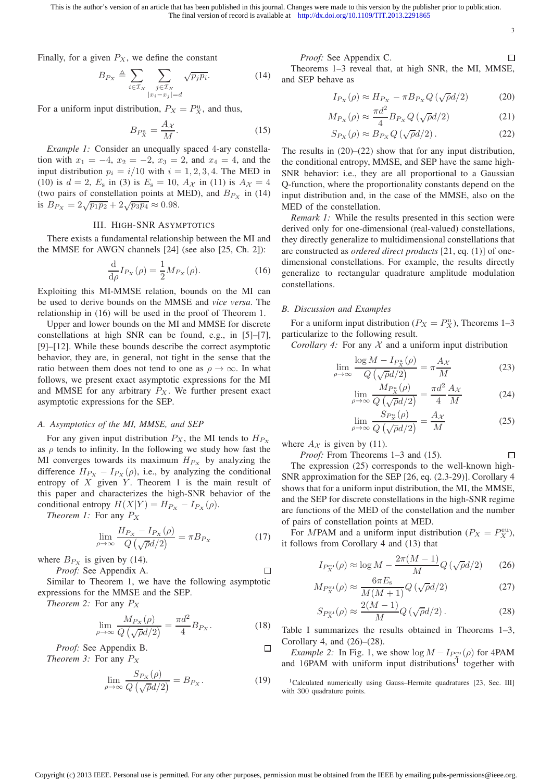3

 $\Box$ 

 $\Box$ 

Finally, for a given  $P_X$ , we define the constant

$$
B_{P_X} \triangleq \sum_{i \in \mathcal{I}_X} \sum_{\substack{j \in \mathcal{I}_X \\ |x_i - x_j| = d}} \sqrt{p_j p_i}.
$$
 (14)

For a uniform input distribution,  $P_X = P_X^{\mathrm{u}}$ , and thus,

$$
B_{P_X^{\rm u}} = \frac{A_{\mathcal{X}}}{M}.\tag{15}
$$

*Example 1:* Consider an unequally spaced 4-ary constellation with  $x_1 = -4$ ,  $x_2 = -2$ ,  $x_3 = 2$ , and  $x_4 = 4$ , and the input distribution  $p_i = i/10$  with  $i = 1, 2, 3, 4$ . The MED in (10) is  $d = 2$ ,  $E_s$  in (3) is  $E_s = 10$ ,  $A_{\mathcal{X}}$  in (11) is  $A_{\mathcal{X}} = 4$ (two pairs of constellation points at MED), and  $B_{P_X}$  in (14) is  $B_{P_X} = 2\sqrt{p_1 p_2} + 2\sqrt{p_3 p_4} \approx 0.98.$ 

#### III. HIGH-SNR ASYMPTOTICS

There exists a fundamental relationship between the MI and the MMSE for AWGN channels [24] (see also [25, Ch. 2]):

$$
\frac{\mathrm{d}}{\mathrm{d}\rho}I_{P_X}(\rho) = \frac{1}{2}M_{P_X}(\rho). \tag{16}
$$

Exploiting this MI-MMSE relation, bounds on the MI can be used to derive bounds on the MMSE and *vice versa*. The relationship in (16) will be used in the proof of Theorem 1.

Upper and lower bounds on the MI and MMSE for discrete constellations at high SNR can be found, e.g., in [5]–[7], [9]–[12]. While these bounds describe the correct asymptotic behavior, they are, in general, not tight in the sense that the ratio between them does not tend to one as  $\rho \to \infty$ . In what follows, we present exact asymptotic expressions for the MI and MMSE for any arbitrary  $P_X$ . We further present exact asymptotic expressions for the SEP.

# *A. Asymptotics of the MI, MMSE, and SEP*

For any given input distribution  $P_X$ , the MI tends to  $H_{P_X}$ as  $\rho$  tends to infinity. In the following we study how fast the MI converges towards its maximum  $H_{P_X}$  by analyzing the difference  $H_{P_X} - I_{P_X}(\rho)$ , i.e., by analyzing the conditional entropy of  $X$  given  $Y$ . Theorem 1 is the main result of this paper and characterizes the high-SNR behavior of the conditional entropy  $H(X|Y) = H_{P_X} - I_{P_X}(\rho)$ .

*Theorem 1:* For any  $P_X$ 

$$
\lim_{\rho \to \infty} \frac{H_{P_X} - I_{P_X}(\rho)}{Q\left(\sqrt{\rho}d/2\right)} = \pi B_{P_X} \tag{17}
$$

where  $B_{P<sub>x</sub>}$  is given by (14).

*Proof:* See Appendix A.  $\Box$ Similar to Theorem 1, we have the following asymptotic expressions for the MMSE and the SEP.

*Theorem 2:* For any P<sup>X</sup>

$$
\lim_{\rho \to \infty} \frac{M_{P_X}(\rho)}{Q\left(\sqrt{\rho}d/2\right)} = \frac{\pi d^2}{4} B_{P_X}.
$$
 (18)

*Proof:* See Appendix B. *Theorem 3:* For any  $P_X$ 

$$
\lim_{\rho \to \infty} \frac{S_{P_X}(\rho)}{Q\left(\sqrt{\rho}d/2\right)} = B_{P_X}.
$$
\n(19)

*Proof:* See Appendix C.

Theorems 1–3 reveal that, at high SNR, the MI, MMSE, and SEP behave as

$$
I_{P_X}(\rho) \approx H_{P_X} - \pi B_{P_X} Q \left( \sqrt{\rho} d/2 \right) \tag{20}
$$

$$
M_{P_X}(\rho) \approx \frac{\pi d^2}{4} B_{P_X} Q\left(\sqrt{\rho}d/2\right) \tag{21}
$$

$$
S_{P_X}(\rho) \approx B_{P_X} Q\left(\sqrt{\rho}d/2\right). \tag{22}
$$

The results in  $(20)$ – $(22)$  show that for any input distribution, the conditional entropy, MMSE, and SEP have the same high-SNR behavior: i.e., they are all proportional to a Gaussian Q-function, where the proportionality constants depend on the input distribution and, in the case of the MMSE, also on the MED of the constellation.

*Remark 1:* While the results presented in this section were derived only for one-dimensional (real-valued) constellations, they directly generalize to multidimensional constellations that are constructed as *ordered direct products* [21, eq. (1)] of onedimensional constellations. For example, the results directly generalize to rectangular quadrature amplitude modulation constellations.

#### *B. Discussion and Examples*

For a uniform input distribution ( $P_X = P_X^{\text{u}}$ ), Theorems 1–3 particularize to the following result.

*Corollary 4:* For any  $X$  and a uniform input distribution

$$
\lim_{\rho \to \infty} \frac{\log M - I_{P_X^{\rm u}}(\rho)}{Q\left(\sqrt{\rho}d/2\right)} = \pi \frac{A_{\mathcal{X}}}{M} \tag{23}
$$

$$
\lim_{\rho \to \infty} \frac{M_{P_X^{\mathrm{u}}}(\rho)}{Q\left(\sqrt{\rho}d/2\right)} = \frac{\pi d^2}{4} \frac{A_X}{M} \tag{24}
$$

$$
\lim_{\rho \to \infty} \frac{S_{P_X^{\mathrm{u}}}(\rho)}{Q\left(\sqrt{\rho}d/2\right)} = \frac{A_X}{M} \tag{25}
$$

where  $A_{\mathcal{X}}$  is given by (11).

*Proof:* From Theorems 1–3 and (15).

The expression (25) corresponds to the well-known high-SNR approximation for the SEP [26, eq. (2.3-29)]. Corollary 4 shows that for a uniform input distribution, the MI, the MMSE, and the SEP for discrete constellations in the high-SNR regime are functions of the MED of the constellation and the number of pairs of constellation points at MED.

For MPAM and a uniform input distribution ( $P_X = P_X^{\text{eu}}$ ), it follows from Corollary 4 and (13) that

$$
I_{P_X^{\text{eu}}}(\rho) \approx \log M - \frac{2\pi (M-1)}{M} Q\left(\sqrt{\rho}d/2\right) \tag{26}
$$

$$
M_{P_X^{\text{eu}}}(\rho) \approx \frac{6\pi E_s}{M(M+1)} Q\left(\sqrt{\rho}d/2\right) \tag{27}
$$

$$
S_{P_X^{\text{eu}}}(\rho) \approx \frac{2(M-1)}{M} Q\left(\sqrt{\rho}d/2\right). \tag{28}
$$

Table I summarizes the results obtained in Theorems 1–3, Corollary 4, and (26)–(28).

*Example 2:* In Fig. 1, we show  $\log M - I_{P_X^{\text{eu}}}(\rho)$  for 4PAM and 16PAM with uniform input distributions<sup>1</sup> together with

<sup>1</sup>Calculated numerically using Gauss-Hermite quadratures [23, Sec. III] with 300 quadrature points.

 $\Box$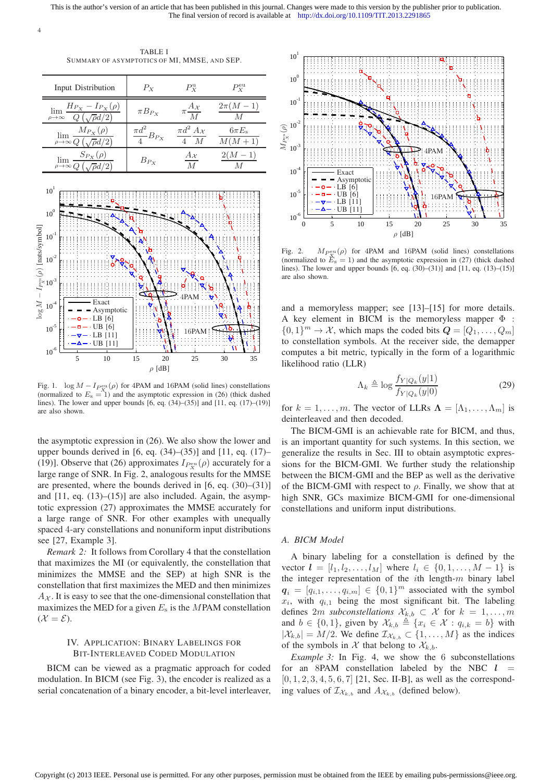TABLE I SUMMARY OF ASYMPTOTICS OF MI, MMSE, AND SEP.

4

| Input Distribution                                                                           | $P_X$                       | $P_{\rm Y}^{\rm u}$                         | $P_{X}^{\text{eu}}$          |
|----------------------------------------------------------------------------------------------|-----------------------------|---------------------------------------------|------------------------------|
| $H_{P_X} - I_{P_X}(\rho)$<br>$\lim_{\rho\to\infty}\frac{H(x)}{Q\left(\sqrt{\rho}d/2\right)}$ | $\pi B_{Px}$                | Аχ<br>$\overline{M}$                        | $2\pi(M-1)$                  |
| $\lim \frac{M_{P_X}(\rho)}{P(X)}$<br>$\rho \rightarrow \infty Q$                             | $\frac{\pi d^2}{4} B_{P_X}$ | $\pi d^2 A_{\mathcal{X}}$<br>$\overline{M}$ | $6\pi E_{\rm s}$<br>$M(M+1)$ |
| $S_{P_X}(\rho)$<br>lim<br>$\rho \rightarrow \infty Q$ $\left(\sqrt{\rho}\right)$             | $B_{P_X}$                   |                                             | $2(M-1)$                     |



Fig. 1.  $\log M - I_{P_{\text{ext}}^{\text{eu}}}(\rho)$  for 4PAM and 16PAM (solid lines) constellations (normalized to  $E_s = 1$ ) and the asymptotic expression in (26) (thick dashed lines). The lower and upper bounds [6, eq. (34)–(35)] and [11, eq. (17)–(19)] are also shown.

the asymptotic expression in (26). We also show the lower and upper bounds derived in  $[6, eq. (34)–(35)]$  and  $[11, eq. (17)–(17)]$ (19)]. Observe that (26) approximates  $I_{P_X^{\text{eu}}}(\rho)$  accurately for a large range of SNR. In Fig. 2, analogous results for the MMSE are presented, where the bounds derived in [6, eq. (30)–(31)] and  $[11, eq. (13)–(15)]$  are also included. Again, the asymptotic expression (27) approximates the MMSE accurately for a large range of SNR. For other examples with unequally spaced 4-ary constellations and nonuniform input distributions see [27, Example 3].

*Remark 2:* It follows from Corollary 4 that the constellation that maximizes the MI (or equivalently, the constellation that minimizes the MMSE and the SEP) at high SNR is the constellation that first maximizes the MED and then minimizes  $A<sub>X</sub>$ . It is easy to see that the one-dimensional constellation that maximizes the MED for a given  $E_s$  is the MPAM constellation  $(X = \mathcal{E}).$ 

# IV. APPLICATION: BINARY LABELINGS FOR BIT-INTERLEAVED CODED MODULATION

BICM can be viewed as a pragmatic approach for coded modulation. In BICM (see Fig. 3), the encoder is realized as a serial concatenation of a binary encoder, a bit-level interleaver,



Fig. 2.  $M_{P_{\mathbf{X}}^{\text{eu}}}(\rho)$  for 4PAM and 16PAM (solid lines) constellations (normalized to  $E_s = 1$ ) and the asymptotic expression in (27) (thick dashed lines). The lower and upper bounds [6, eq. (30)–(31)] and [11, eq. (13)–(15)] are also shown.

and a memoryless mapper; see [13]–[15] for more details. A key element in BICM is the memoryless mapper  $\Phi$  :  $\{0,1\}^m \to \mathcal{X}$ , which maps the coded bits  $\mathbf{Q} = [Q_1, \dots, Q_m]$ to constellation symbols. At the receiver side, the demapper computes a bit metric, typically in the form of a logarithmic likelihood ratio (LLR)

$$
\Lambda_k \triangleq \log \frac{f_{Y|Q_k}(y|1)}{f_{Y|Q_k}(y|0)}\tag{29}
$$

for  $k = 1, \ldots, m$ . The vector of LLRs  $\mathbf{\Lambda} = [\Lambda_1, \ldots, \Lambda_m]$  is deinterleaved and then decoded.

The BICM-GMI is an achievable rate for BICM, and thus, is an important quantity for such systems. In this section, we generalize the results in Sec. III to obtain asymptotic expressions for the BICM-GMI. We further study the relationship between the BICM-GMI and the BEP as well as the derivative of the BICM-GMI with respect to  $\rho$ . Finally, we show that at high SNR, GCs maximize BICM-GMI for one-dimensional constellations and uniform input distributions.

## *A. BICM Model*

Copyright (c) 2013 IEEE. Personal use is permitted. For any other purposes, permission must be obtained from the IEEE by emailing pubs-permissions@ieee.org.

A binary labeling for a constellation is defined by the vector  $l = [l_1, l_2, \dots, l_M]$  where  $l_i \in \{0, 1, \dots, M - 1\}$  is the integer representation of the  $i$ th length- $m$  binary label  $q_i = [q_{i,1}, \ldots, q_{i,m}] \in \{0,1\}^m$  associated with the symbol  $x_i$ , with  $q_{i,1}$  being the most significant bit. The labeling defines 2m *subconstellations*  $\mathcal{X}_{k,b} \subset \mathcal{X}$  for  $k = 1, \ldots, m$ and  $b \in \{0, 1\}$ , given by  $\mathcal{X}_{k,b} \triangleq \{x_i \in \mathcal{X} : q_{i,k} = b\}$  with  $|\mathcal{X}_{k,b}| = M/2$ . We define  $\mathcal{I}_{\mathcal{X}_{k,b}} \subset \{1, \ldots, M\}$  as the indices of the symbols in X that belong to  $\mathcal{X}_{k,b}$ .

*Example 3:* In Fig. 4, we show the 6 subconstellations for an 8PAM constellation labeled by the NBC  $l =$  $[0, 1, 2, 3, 4, 5, 6, 7]$  [21, Sec. II-B], as well as the corresponding values of  $\mathcal{I}_{\mathcal{X}_{k,b}}$  and  $A_{\mathcal{X}_{k,b}}$  (defined below).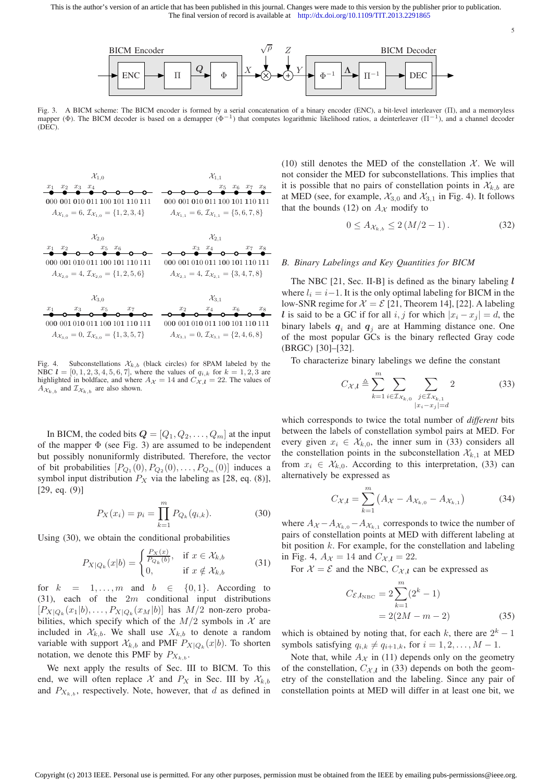

Fig. 3. A BICM scheme: The BICM encoder is formed by a serial concatenation of a binary encoder (ENC), a bit-level interleaver (II), and a memoryless mapper ( $\Phi$ ). The BICM decoder is based on a demapper ( $\Phi^{-1}$ ) that c (DEC).



Fig. 4. Subconstellations  $\mathcal{X}_{k,b}$  (black circles) for 8PAM labeled by the NBC  $l = [0, 1, 2, 3, 4, 5, 6, 7]$ , where the values of  $q_{i,k}$  for  $k = 1, 2, 3$  are highlighted in boldface, and where  $A_{\mathcal{X}} = 14$  and  $C_{\mathcal{X},l} = 22$ . The values of  $A_{\mathcal{X}_{k,b}}$  and  $\mathcal{I}_{\mathcal{X}_{k,b}}$  are also shown.

In BICM, the coded bits  $\mathbf{Q} = [Q_1, Q_2, \dots, Q_m]$  at the input of the mapper  $\Phi$  (see Fig. 3) are assumed to be independent but possibly nonuniformly distributed. Therefore, the vector of bit probabilities  $[P_{Q_1}(0), P_{Q_2}(0), \ldots, P_{Q_m}(0)]$  induces a symbol input distribution  $P_X$  via the labeling as [28, eq. (8)],  $[29, eq. (9)]$ 

$$
P_X(x_i) = p_i = \prod_{k=1}^{m} P_{Q_k}(q_{i,k}).
$$
\n(30)

Using (30), we obtain the conditional probabilities

$$
P_{X|Q_k}(x|b) = \begin{cases} \frac{P_X(x)}{P_{Q_k}(b)}, & \text{if } x \in \mathcal{X}_{k,b} \\ 0, & \text{if } x \notin \mathcal{X}_{k,b} \end{cases}
$$
(31)

for  $k = 1, \ldots, m$  and  $b \in \{0, 1\}$ . According to  $(31)$ , each of the  $2m$  conditional input distributions  $[P_{X|Q_k}(x_1|b), \ldots, P_{X|Q_k}(x_M|b)]$  has  $M/2$  non-zero probabilities, which specify which of the  $M/2$  symbols in X are included in  $\mathcal{X}_{k,b}$ . We shall use  $X_{k,b}$  to denote a random variable with support  $\mathcal{X}_{k,b}$  and PMF  $P_{X|Q_k}(x|b)$ . To shorten notation, we denote this PMF by  $P_{X_{k,b}}$ .

We next apply the results of Sec. III to BICM. To this end, we will often replace X and  $P_X$  in Sec. III by  $\mathcal{X}_{k,b}$ and  $P_{X_{k,b}}$ , respectively. Note, however, that d as defined in

(10) still denotes the MED of the constellation  $X$ . We will not consider the MED for subconstellations. This implies that it is possible that no pairs of constellation points in  $\mathcal{X}_{k,b}$  are at MED (see, for example,  $\mathcal{X}_{3,0}$  and  $\mathcal{X}_{3,1}$  in Fig. 4). It follows that the bounds (12) on  $A_{\mathcal{X}}$  modify to

$$
0 \le A_{\mathcal{X}_{k,b}} \le 2(M/2 - 1). \tag{32}
$$

5

# *B. Binary Labelings and Key Quantities for BICM*

The NBC  $[21, Sec. II-B]$  is defined as the binary labeling  $l$ where  $l_i = i-1$ . It is the only optimal labeling for BICM in the low-SNR regime for  $\mathcal{X} = \mathcal{E}$  [21, Theorem 14], [22]. A labeling l is said to be a GC if for all i, j for which  $|x_i - x_j| = d$ , the binary labels  $q_i$  and  $q_j$  are at Hamming distance one. One of the most popular GCs is the binary reflected Gray code (BRGC) [30]–[32].

To characterize binary labelings we define the constant

$$
C_{\mathcal{X},l} \triangleq \sum_{k=1}^{m} \sum_{i \in \mathcal{I}_{\mathcal{X}_{k,0}}} \sum_{\substack{j \in \mathcal{I}_{\mathcal{X}_{k,1}} \\ |x_i - x_j| = d}} 2 \tag{33}
$$

which corresponds to twice the total number of *different* bits between the labels of constellation symbol pairs at MED. For every given  $x_i \in \mathcal{X}_{k,0}$ , the inner sum in (33) considers all the constellation points in the subconstellation  $\mathcal{X}_{k,1}$  at MED from  $x_i \in \mathcal{X}_{k,0}$ . According to this interpretation, (33) can alternatively be expressed as

$$
C_{\mathcal{X},l} = \sum_{k=1}^{m} \left( A_{\mathcal{X}} - A_{\mathcal{X}_{k,0}} - A_{\mathcal{X}_{k,1}} \right) \tag{34}
$$

where  $A_{\mathcal{X}} - A_{\mathcal{X}_{k,0}} - A_{\mathcal{X}_{k,1}}$  corresponds to twice the number of pairs of constellation points at MED with different labeling at bit position  $k$ . For example, for the constellation and labeling in Fig. 4,  $A_{\mathcal{X}} = 14$  and  $C_{\mathcal{X},l} = 22$ .

For  $\mathcal{X} = \mathcal{E}$  and the NBC,  $C_{\mathcal{X},l}$  can be expressed as

$$
C_{\mathcal{E},l_{\text{NBC}}} = 2\sum_{k=1}^{m} (2^{k} - 1)
$$
  
= 2(2M - m - 2) (35)

which is obtained by noting that, for each k, there are  $2^k - 1$ symbols satisfying  $q_{i,k} \neq q_{i+1,k}$ , for  $i = 1, 2, \ldots, M - 1$ .

Note that, while  $A_{\mathcal{X}}$  in (11) depends only on the geometry of the constellation,  $C_{\mathcal{X},l}$  in (33) depends on both the geometry of the constellation and the labeling. Since any pair of constellation points at MED will differ in at least one bit, we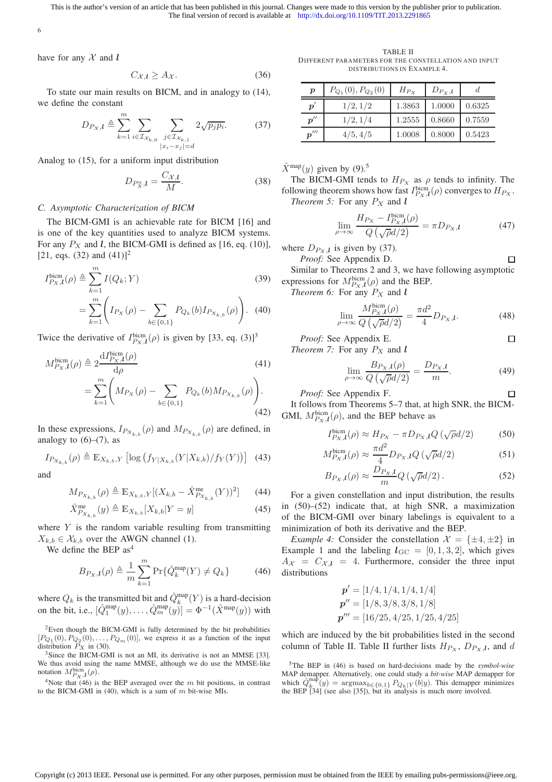6

have for any  $\mathcal X$  and  $\mathbf l$ 

$$
C_{\mathcal{X},l} \ge A_{\mathcal{X}}.\tag{36}
$$

To state our main results on BICM, and in analogy to (14), we define the constant

$$
D_{P_X,l} \triangleq \sum_{k=1}^{m} \sum_{i \in \mathcal{I}_{\mathcal{X}_{k,0}}} \sum_{\substack{j \in \mathcal{I}_{\mathcal{X}_{k,1}} \\ |x_i - x_j| = d}} 2\sqrt{p_j p_i}.
$$
 (37)

Analog to (15), for a uniform input distribution

$$
D_{P_X^{\mathrm{u}},l} = \frac{C_{\mathcal{X},l}}{M}.\tag{38}
$$

# *C. Asymptotic Characterization of BICM*

The BICM-GMI is an achievable rate for BICM [16] and is one of the key quantities used to analyze BICM systems. For any  $P_X$  and l, the BICM-GMI is defined as [16, eq. (10)], [21, eqs. (32) and  $(41)$ ]<sup>2</sup>

$$
I_{P_X,l}^{\text{bicm}}(\rho) \triangleq \sum_{k=1}^{m} I(Q_k; Y)
$$
\n
$$
= \sum_{k=1}^{m} \left( I_{P_X}(\rho) - \sum_{b \in \{0,1\}} P_{Q_k}(b) I_{P_{X_{k,b}}}(\rho) \right). \tag{39}
$$

Twice the derivative of  $I_{P_X,l}^{bicm}(\rho)$  is given by [33, eq. (3)]<sup>3</sup>

$$
M_{P_X,l}^{\text{bicm}}(\rho) \triangleq 2 \frac{\mathrm{d}I_{P_X,l}^{\text{bicm}}(\rho)}{\mathrm{d}\rho} \qquad (41)
$$
  
= 
$$
\sum_{k=1}^{m} \left( M_{P_X}(\rho) - \sum_{b \in \{0,1\}} P_{Q_k}(b) M_{P_{X_{k,b}}}(\rho) \right).
$$
  
(42)

In these expressions,  $I_{P_{X_{k,b}}}(\rho)$  and  $M_{P_{X_{k,b}}}(\rho)$  are defined, in analogy to  $(6)$ – $(7)$ , as

$$
I_{P_{X_{k,b}}}(\rho) \triangleq \mathbb{E}_{X_{k,b},Y} \left[ \log \left( f_{Y|X_{k,b}}(Y|X_{k,b}) / f_{Y}(Y) \right) \right] \tag{43}
$$

and

$$
M_{P_{X_{k,b}}}(\rho) \triangleq \mathbb{E}_{X_{k,b},Y}[(X_{k,b} - \hat{X}_{P_{X_{k,b}}}^{\text{me}}(Y))^2] \tag{44}
$$

$$
\hat{X}_{P_{X_{k,b}}}(y) \triangleq \mathbb{E}_{X_{k,b}}[X_{k,b}|Y=y]
$$
\n(45)

where  $Y$  is the random variable resulting from transmitting  $X_{k,b} \in \mathcal{X}_{k,b}$  over the AWGN channel (1).

We define the BEP  $as<sup>4</sup>$ 

$$
B_{P_X,l}(\rho) \triangleq \frac{1}{m} \sum_{k=1}^{m} \Pr{\{\hat{Q}_k^{\text{map}}(Y) \neq Q_k\}} \tag{46}
$$

where  $Q_k$  is the transmitted bit and  $\hat{Q}_k^{\text{map}}(Y)$  is a hard-decision on the bit, i.e.,  $[\hat{Q}_1^{\text{map}}(y), \dots, \hat{Q}_m^{\text{map}}(y)] = \Phi^{-1}(\hat{X}^{\text{map}}(y))$  with

<sup>3</sup>Since the BICM-GMI is not an MI, its derivative is not an MMSE [33]. We thus avoid using the name MMSE, although we do use the MMSE-like notation  $M_{P_X,l}^{\text{bicm}}(\rho)$ .

<sup>4</sup>Note that (46) is the BEP averaged over the m bit positions, in contrast to the BICM-GMI in (40), which is a sum of  $m$  bit-wise MIs.

TABLE II DIFFERENT PARAMETERS FOR THE CONSTELLATION AND INPUT DISTRIBUTIONS IN EXAMPLE 4.

| $\boldsymbol{p}$    | $P_{Q_1}(0), P_{Q_2}(0)$ | $H_{P_{Y}}$ | $D_{P_X,l}$ |        |
|---------------------|--------------------------|-------------|-------------|--------|
| $\boldsymbol{p}'$   | 1/2, 1/2                 | 1.3863      | 1.0000      | 0.6325 |
| $p^{\prime\prime}$  | 1/2, 1/4                 | 1.2555      | 0.8660      | 0.7559 |
| $\boldsymbol{p}'''$ | 4/5, 4/5                 | 1.0008      | 0.8000      | 0.5423 |

 $\hat{X}^{\text{map}}(y)$  given by (9).<sup>5</sup>

The BICM-GMI tends to  $H_{P_X}$  as  $\rho$  tends to infinity. The following theorem shows how fast  $I_{P_X,l}^{\text{bicm}}(\rho)$  converges to  $H_{P_X}$ . *Theorem 5:* For any  $P_X$  and  $\ell$ 

$$
\lim_{\rho \to \infty} \frac{H_{P_X} - I_{P_X,l}^{\text{biem}}(\rho)}{Q\left(\sqrt{\rho}d/2\right)} = \pi D_{P_X,l} \tag{47}
$$

where  $D_{P_X,l}$  is given by (37). *Proof:* See Appendix D.

 $\Box$ 

 $\Box$ 

Similar to Theorems 2 and 3, we have following asymptotic expressions for  $M_{P_X,l}^{\text{bicm}}(\rho)$  and the BEP.

*Theorem 6:* For any  $P_X$  and  $\ell$ 

$$
\lim_{\rho \to \infty} \frac{M_{P_X,l}^{\text{biem}}(\rho)}{Q\left(\sqrt{\rho}d/2\right)} = \frac{\pi d^2}{4} D_{P_X,l}.\tag{48}
$$

*Proof:* See Appendix E. *Theorem 7:* For any 
$$
P_X
$$
 and  $l$ 

$$
\lim_{\rho \to \infty} \frac{B_{P_X, l}(\rho)}{Q\left(\sqrt{\rho}d/2\right)} = \frac{D_{P_X, l}}{m}.
$$
\n(49)

*Proof:* See Appendix F.  $\Box$ It follows from Theorems 5–7 that, at high SNR, the BICM-GMI,  $M_{P_X,l}^{\text{bicm}}(\rho)$ , and the BEP behave as

$$
I_{P_X,l}^{\text{bicm}}(\rho) \approx H_{P_X} - \pi D_{P_X,l} Q \left( \sqrt{\rho} d/2 \right) \tag{50}
$$

$$
M_{P_X,l}^{\text{bicm}}(\rho) \approx \frac{\pi d^2}{4} D_{P_X,l} Q\left(\sqrt{\rho}d/2\right) \tag{51}
$$

$$
B_{P_X,l}(\rho) \approx \frac{D_{P_X,l}}{m} Q\left(\sqrt{\rho}d/2\right). \tag{52}
$$

For a given constellation and input distribution, the results in (50)–(52) indicate that, at high SNR, a maximization of the BICM-GMI over binary labelings is equivalent to a minimization of both its derivative and the BEP.

*Example 4:* Consider the constellation  $\mathcal{X} = \{\pm 4, \pm 2\}$  in Example 1 and the labeling  $l_{\text{GC}} = [0, 1, 3, 2]$ , which gives  $A_{\mathcal{X}} = C_{\mathcal{X},l} = 4$ . Furthermore, consider the three input distributions

$$
\mathbf{p}' = [1/4, 1/4, 1/4, 1/4] \n\mathbf{p}'' = [1/8, 3/8, 3/8, 1/8] \n\mathbf{p}''' = [16/25, 4/25, 1/25, 4/25]
$$

which are induced by the bit probabilities listed in the second column of Table II. Table II further lists  $H_{P_X}$ ,  $D_{P_X,l}$ , and d

<sup>5</sup>The BEP in (46) is based on hard-decisions made by the *symbol-wise* MAP demapper. Alternatively, one could study a *bit-wise* MAP demapper for which  $\hat{Q}_{k}^{mab}(y) = \operatorname{argmax}_{b \in \{0,1\}} P_{Q_k|Y}(b|y)$ . This demapper minimizes the BEP [34] (see also [35]), but its analysis is much more involved.

 $2$ Even though the BICM-GMI is fully determined by the bit probabilities  $[P_{Q_1}(0), P_{Q_2}(0), \ldots, P_{Q_m}(0)]$ , we express it as a function of the input distribution  $\tilde{P}_X$  in (30).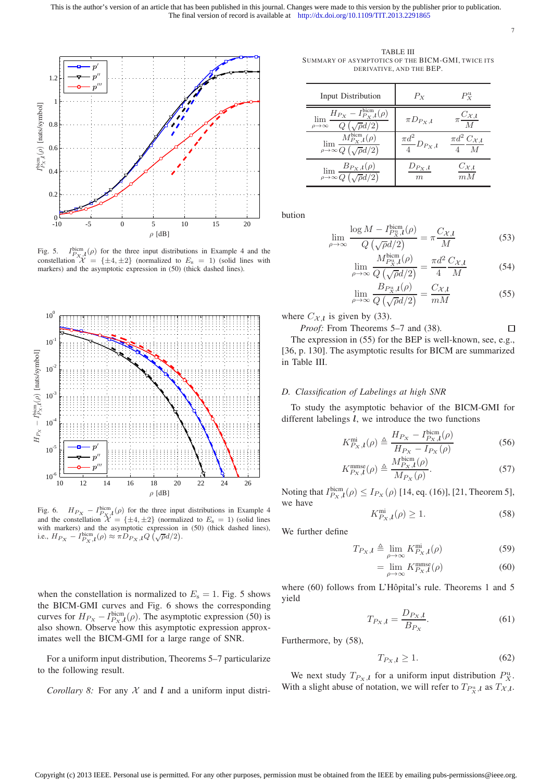

Fig. 5.  $I_{P_X,l}^{\text{bicm}}(\rho)$  for the three input distributions in Example 4 and the constellation  $\mathcal{X} = {\pm 4, \pm 2}$  (normalized to  $E_s = 1$ ) (solid lines with markers) and the asymptotic expression in (50) (thick dashed lines).



Fig. 6.  $H_{P_X} - I_{P_X}^{\text{bicm}}(\rho)$  for the three input distributions in Example 4 and the constellation  $\mathcal{X} = {\pm 4, \pm 2}$  (normalized to  $E_s = 1$ ) (solid lines with markers) and the asymptotic expression in (50) (thick dashed lines), i.e.,  $H_{P_X} - I_{P_X,l}^{\text{bicm}}(\rho) \approx \pi D_{P_X,l} Q(\sqrt{\rho}d/2)$ .

when the constellation is normalized to  $E_s = 1$ . Fig. 5 shows the BICM-GMI curves and Fig. 6 shows the corresponding curves for  $H_{P_X} - I_{P_X,l}^{bicm}(\rho)$ . The asymptotic expression (50) is also shown. Observe how this asymptotic expression approximates well the BICM-GMI for a large range of SNR.

For a uniform input distribution, Theorems 5–7 particularize to the following result.

*Corollary 8:* For any  $X$  and  $l$  and a uniform input distri-

TABLE III SUMMARY OF ASYMPTOTICS OF THE BICM-GMI, TWICE ITS DERIVATIVE, AND THE BEP.

7

| Input Distribution                                                                                           | $P_X$                        | $P_{\rm Y}^{\rm u}$                                |
|--------------------------------------------------------------------------------------------------------------|------------------------------|----------------------------------------------------|
| $H_{P_{X}}-I_{P_{X},l}^{\rm bicm}(\rho)$<br>lim<br>$\rho\!\rightarrow\!\infty$                               | $\pi D_{P_X,l}$              | $C_{\mathcal{X},\boldsymbol{l}}$<br>$\overline{M}$ |
| $M^\mathrm{bicm}_{P_X,\boldsymbol{l}}(\rho)$<br>$\lim_{\rho\to\infty}\frac{1}{Q\left(\sqrt{\rho}d/2\right)}$ | $\frac{\pi d^2}{4}D_{P_X,l}$ | $\pi d^2 C_{\mathcal{X},l}$                        |
| $B_{P_X,l}(\rho)$<br>$\rho \rightarrow \infty Q$ $\left(\sqrt{\rho d}\right)$<br>(2)                         | $D_{P_X,l}$<br>m             | $C_{\mathcal{X},l}$<br>$m\,M$                      |

bution

$$
\lim_{\rho \to \infty} \frac{\log M - I_{P_X^{\text{tr,II}}}^{\text{biem}}(\rho)}{Q\left(\sqrt{\rho}d/2\right)} = \pi \frac{C_{\mathcal{X},l}}{M} \tag{53}
$$

$$
\lim_{\rho \to \infty} \frac{M_{P_X^{\text{min}}}(p)}{Q\left(\sqrt{\rho}d/2\right)} = \frac{\pi d^2}{4} \frac{C_{\mathcal{X},l}}{M} \tag{54}
$$

$$
\lim_{\rho \to \infty} \frac{B_{P_X^n, l}(\rho)}{Q\left(\sqrt{\rho}d/2\right)} = \frac{C_{\mathcal{X},l}}{mM} \tag{55}
$$

where  $C_{\mathcal{X},l}$  is given by (33).

 $\rho$ 

*Proof:* From Theorems 5–7 and (38).  $\Box$ 

The expression in (55) for the BEP is well-known, see, e.g., [36, p. 130]. The asymptotic results for BICM are summarized in Table III.

# *D. Classification of Labelings at high SNR*

To study the asymptotic behavior of the BICM-GMI for different labelings  $l$ , we introduce the two functions

$$
K_{P_X,l}^{\text{mi}}(\rho) \triangleq \frac{H_{P_X} - I_{P_X,l}^{\text{biem}}(\rho)}{H_{P_X} - I_{P_X}(\rho)}
$$
(56)

$$
K_{P_X,l}^{\text{mmse}}(\rho) \triangleq \frac{M_{P_X,l}^{\text{biem}}(\rho)}{M_{P_X}(\rho)}.
$$
\n(57)

Noting that  $I_{P_X,l}^{\text{bicm}}(\rho) \leq I_{P_X}(\rho)$  [14, eq. (16)], [21, Theorem 5], we have

$$
K_{P_X,l}^{\text{mi}}(\rho) \ge 1. \tag{58}
$$

We further define

$$
T_{P_X,l} \triangleq \lim_{\rho \to \infty} K_{P_X,l}^{\text{mi}}(\rho) \tag{59}
$$

$$
= \lim_{\rho \to \infty} K_{P_X, \mathbf{l}}^{\text{mmse}}(\rho) \tag{60}
$$

where  $(60)$  follows from L'Hôpital's rule. Theorems 1 and 5 yield

$$
T_{P_X,l} = \frac{D_{P_X,l}}{B_{P_X}}.\t(61)
$$

Furthermore, by (58),

$$
T_{P_X,l} \ge 1. \tag{62}
$$

We next study  $T_{P_X,l}$  for a uniform input distribution  $P_X^{\text{u}}$ . With a slight abuse of notation, we will refer to  $T_{P_X^n,l}$  as  $T_{\mathcal{X},l}$ .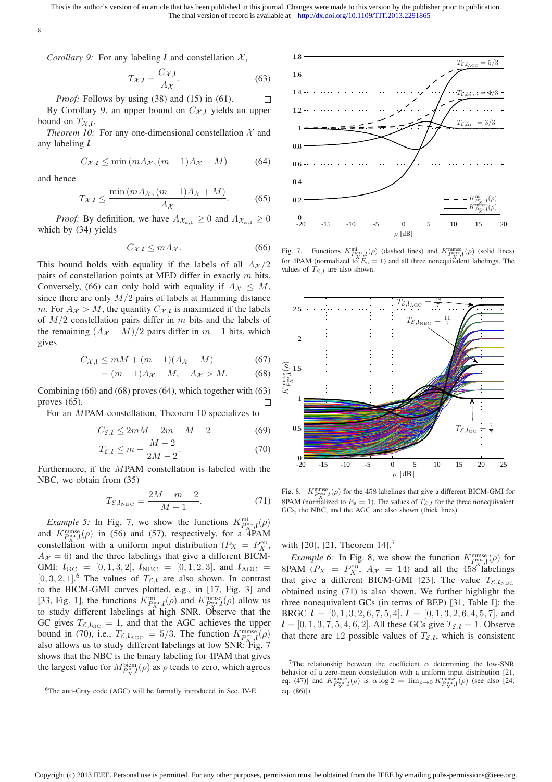8

*Corollary 9:* For any labeling l and constellation  $X$ ,

$$
T_{\mathcal{X},l} = \frac{C_{\mathcal{X},l}}{A_{\mathcal{X}}}.\tag{63}
$$

*Proof:* Follows by using (38) and (15) in (61).  $\Box$ By Corollary 9, an upper bound on  $C_{\mathcal{X},l}$  yields an upper bound on  $T_{\mathcal{X},\bm{l}}$ .

*Theorem 10:* For any one-dimensional constellation  $X$  and any labeling l

$$
C_{\mathcal{X},l} \le \min\left(mA_{\mathcal{X}},(m-1)A_{\mathcal{X}} + M\right) \tag{64}
$$

and hence

$$
T_{\mathcal{X},l} \le \frac{\min\left(mA_{\mathcal{X}}, \left(m-1\right)A_{\mathcal{X}} + M\right)}{A_{\mathcal{X}}}.\tag{65}
$$

*Proof:* By definition, we have  $A_{\mathcal{X}_{k,0}} \geq 0$  and  $A_{\mathcal{X}_{k,1}} \geq 0$ which by (34) yields

$$
C_{\mathcal{X},l} \le m A_{\mathcal{X}}.\tag{66}
$$

This bound holds with equality if the labels of all  $A_{\mathcal{X}}/2$ pairs of constellation points at MED differ in exactly m bits. Conversely, (66) can only hold with equality if  $A_{\mathcal{X}} \leq M$ , since there are only  $M/2$  pairs of labels at Hamming distance *m*. For  $A_{\mathcal{X}} > M$ , the quantity  $C_{\mathcal{X},l}$  is maximized if the labels of  $M/2$  constellation pairs differ in m bits and the labels of the remaining  $(A_{\mathcal{X}} - M)/2$  pairs differ in  $m - 1$  bits, which gives

$$
C_{\mathcal{X},l} \le mM + (m-1)(A_{\mathcal{X}} - M) \tag{67}
$$

$$
= (m-1)A_{\mathcal{X}} + M, \quad A_{\mathcal{X}} > M. \tag{68}
$$

Combining (66) and (68) proves (64), which together with (63) proves (65). П

For an MPAM constellation, Theorem 10 specializes to

$$
C_{\mathcal{E},l} \le 2mM - 2m - M + 2 \tag{69}
$$

$$
T_{\mathcal{E},l} \le m - \frac{M-2}{2M-2}.\tag{70}
$$

Furthermore, if the MPAM constellation is labeled with the NBC, we obtain from (35)

$$
T_{\mathcal{E},l_{\text{NBC}}} = \frac{2M - m - 2}{M - 1}.\tag{71}
$$

*Example 5:* In Fig. 7, we show the functions  $K_{P_{X}^{\text{nu}}\text{,}l}^{\text{mi}}(\rho)$ and  $K_{\text{peu},l}^{\text{mmse}}(\rho)$  in (56) and (57), respectively, for a 4PAM constellation with a uniform input distribution ( $P_X = P_X^{\text{eu}}$ ,  $A_{\mathcal{X}} = 6$ ) and the three labelings that give a different BICM-GMI:  $l_{\text{GC}} = [0, 1, 3, 2], l_{\text{NBC}} = [0, 1, 2, 3],$  and  $l_{\text{AGC}} =$  $[0, 3, 2, 1]$ <sup>6</sup>. The values of  $T_{\mathcal{E},l}$  are also shown. In contrast to the BICM-GMI curves plotted, e.g., in [17, Fig. 3] and [33, Fig. 1], the functions  $K_{P_{\mathcal{X}}^{\text{out}}}^{\text{mi}}(\rho)$  and  $K_{P_{\mathcal{X}}^{\text{m}}l}^{\text{mmse}}(\rho)$  allow us to study different labelings at high SNR. Observe that the GC gives  $T_{\mathcal{E},l_{\text{GC}}} = 1$ , and that the AGC achieves the upper bound in (70), i.e.,  $T_{\mathcal{E}, l_{\text{AGC}}} = 5/3$ . The function  $K_{\text{Pem},l}^{\text{mmse}}(\rho)$ also allows us to study different labelings at low SNR: Fig. 7 shows that the NBC is the binary labeling for 4PAM that gives the largest value for  $M_{P_X^u,l}^{\text{bicm}}(\rho)$  as  $\rho$  tends to zero, which agrees



Fig. 7. Functions  $K_{P_{\mathcal{X},l}}^{\text{mi}}(\rho)$  (dashed lines) and  $K_{P_{\mathcal{X},l}}^{\text{mense}}(\rho)$  (solid lines) for 4PAM (normalized to  $E_s = 1$ ) and all three nonequivalent labelings. The values of  $T_{\mathcal{E},l}$  are also shown.



Fig. 8.  $K_{P_{\text{ext}}}^{\text{mmse}}(\rho)$  for the 458 labelings that give a different BICM-GMI for 8PAM (normalized to  $E_s = 1$ ). The values of  $T_{\mathcal{E},l}$  for the three nonequivalent GCs, the NBC, and the AGC are also shown (thick lines).

with [20], [21, Theorem 14].<sup>7</sup>

*Example 6:* In Fig. 8, we show the function  $K_{P^{\text{eu},l}}^{\text{mmse}}(\rho)$  for 8PAM  $(P_X = P_X^{\text{eu}}, A_X = 14)$  and all the 458<sup> $\lambda$ </sup> labelings that give a different BICM-GMI [23]. The value  $T_{\mathcal{E},l_{\text{NBC}}}$ obtained using (71) is also shown. We further highlight the three nonequivalent GCs (in terms of BEP) [31, Table I]: the BRGC  $\mathbf{l} = [0, 1, 3, 2, 6, 7, 5, 4], \mathbf{l} = [0, 1, 3, 2, 6, 4, 5, 7],$  and  $l = [0, 1, 3, 7, 5, 4, 6, 2]$ . All these GCs give  $T_{\mathcal{E},l} = 1$ . Observe that there are 12 possible values of  $T_{\mathcal{E},l}$ , which is consistent

<sup>&</sup>lt;sup>6</sup>The anti-Gray code (AGC) will be formally introduced in Sec. IV-E.

<sup>&</sup>lt;sup>7</sup>The relationship between the coefficient  $\alpha$  determining the low-SNR behavior of a zero-mean constellation with a uniform input distribution [21, eq. (47)] and  $K_{P_{\mathcal{X}}^{\text{mmse}}}^{\text{mmse}}(\rho)$  is  $\alpha \log 2 = \lim_{\rho \to 0} K_{P_{\mathcal{X}}^{\text{mmse}}}^{\text{mmse}}(\rho)$  (see also [24, eq. (86)]).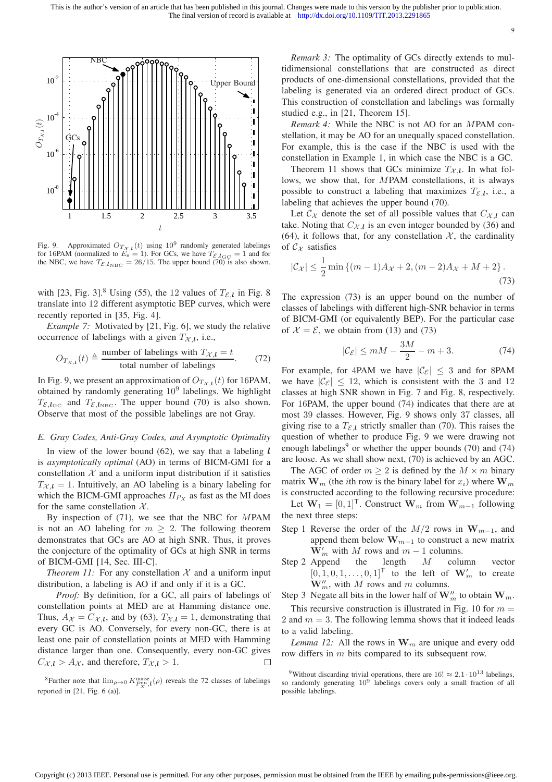

Fig. 9. Approximated  $O_{T_X,l}(t)$  using  $10^9$  randomly generated labelings for 16PAM (normalized to  $E_s = 1$ ). For GCs, we have  $T_{\mathcal{E},l_{\text{GC}}} = 1$  and for the NBC, we have  $T_{\mathcal{E},l_{\text{NBC}}} = 26/15$ . The upper bound (70) is also shown.

with [23, Fig. 3].<sup>8</sup> Using (55), the 12 values of  $T_{\mathcal{E},l}$  in Fig. 8 translate into 12 different asymptotic BEP curves, which were recently reported in [35, Fig. 4].

*Example 7:* Motivated by [21, Fig. 6], we study the relative occurrence of labelings with a given  $T_{\mathcal{X},l}$ , i.e.,

$$
O_{T_{\mathcal{X},l}}(t) \triangleq \frac{\text{number of labelings with } T_{\mathcal{X},l} = t}{\text{total number of labelings}}.
$$
 (72)

In Fig. 9, we present an approximation of  $O_{T_{\mathcal{X},l}}(t)$  for 16PAM, obtained by randomly generating  $10^9$  labelings. We highlight  $T_{\mathcal{E},l_{\text{GC}}}$  and  $T_{\mathcal{E},l_{\text{NEC}}}$ . The upper bound (70) is also shown. Observe that most of the possible labelings are not Gray.

#### *E. Gray Codes, Anti-Gray Codes, and Asymptotic Optimality*

In view of the lower bound  $(62)$ , we say that a labeling l is *asymptotically optimal* (AO) in terms of BICM-GMI for a constellation  $X$  and a uniform input distribution if it satisfies  $T_{X,l} = 1$ . Intuitively, an AO labeling is a binary labeling for which the BICM-GMI approaches  $H_{Px}$  as fast as the MI does for the same constellation  $X$ .

By inspection of (71), we see that the NBC for MPAM is not an AO labeling for  $m > 2$ . The following theorem demonstrates that GCs are AO at high SNR. Thus, it proves the conjecture of the optimality of GCs at high SNR in terms of BICM-GMI [14, Sec. III-C].

*Theorem 11:* For any constellation  $X$  and a uniform input distribution, a labeling is AO if and only if it is a GC.

*Proof:* By definition, for a GC, all pairs of labelings of constellation points at MED are at Hamming distance one. Thus,  $A_{\mathcal{X}} = C_{\mathcal{X},l}$ , and by (63),  $T_{\mathcal{X},l} = 1$ , demonstrating that every GC is AO. Conversely, for every non-GC, there is at least one pair of constellation points at MED with Hamming distance larger than one. Consequently, every non-GC gives  $C_{\mathcal{X},l} > A_{\mathcal{X}}$ , and therefore,  $T_{\mathcal{X},l} > 1$ .  $\Box$ 

*Remark 3:* The optimality of GCs directly extends to multidimensional constellations that are constructed as direct products of one-dimensional constellations, provided that the labeling is generated via an ordered direct product of GCs. This construction of constellation and labelings was formally studied e.g., in [21, Theorem 15].

9

*Remark 4:* While the NBC is not AO for an MPAM constellation, it may be AO for an unequally spaced constellation. For example, this is the case if the NBC is used with the constellation in Example 1, in which case the NBC is a GC.

Theorem 11 shows that GCs minimize  $T_{\mathcal{X},l}$ . In what follows, we show that, for MPAM constellations, it is always possible to construct a labeling that maximizes  $T_{\mathcal{E},l}$ , i.e., a labeling that achieves the upper bound (70).

Let  $\mathcal{C}_{\mathcal{X}}$  denote the set of all possible values that  $C_{\mathcal{X},l}$  can take. Noting that  $C_{\mathcal{X},l}$  is an even integer bounded by (36) and (64), it follows that, for any constellation  $X$ , the cardinality of  $C_{\mathcal{X}}$  satisfies

$$
|\mathcal{C}_\mathcal{X}| \le \frac{1}{2} \min \left\{ (m-1)A_\mathcal{X} + 2, (m-2)A_\mathcal{X} + M + 2 \right\}.
$$
\n(73)

The expression (73) is an upper bound on the number of classes of labelings with different high-SNR behavior in terms of BICM-GMI (or equivalently BEP). For the particular case of  $\mathcal{X} = \mathcal{E}$ , we obtain from (13) and (73)

$$
|\mathcal{C}_{\mathcal{E}}| \le mM - \frac{3M}{2} - m + 3. \tag{74}
$$

For example, for 4PAM we have  $|\mathcal{C}_{\mathcal{E}}| \leq 3$  and for 8PAM we have  $|\mathcal{C}_{\mathcal{E}}| \leq 12$ , which is consistent with the 3 and 12 classes at high SNR shown in Fig. 7 and Fig. 8, respectively. For 16PAM, the upper bound (74) indicates that there are at most 39 classes. However, Fig. 9 shows only 37 classes, all giving rise to a  $T_{\mathcal{E},l}$  strictly smaller than (70). This raises the question of whether to produce Fig. 9 we were drawing not enough labelings<sup>9</sup> or whether the upper bounds (70) and (74) are loose. As we shall show next, (70) is achieved by an AGC.

The AGC of order  $m \geq 2$  is defined by the  $M \times m$  binary matrix  $\mathbf{W}_m$  (the *i*th row is the binary label for  $x_i$ ) where  $\mathbf{W}_m$ is constructed according to the following recursive procedure:

Let  $W_1 = [0, 1]^\mathsf{T}$ . Construct  $W_m$  from  $W_{m-1}$  following the next three steps:

- Step 1 Reverse the order of the  $M/2$  rows in  $W_{m-1}$ , and append them below  $\mathbf{W}_{m-1}$  to construct a new matrix  $\mathbf{W}'_m$  with M rows and  $m-1$  columns.
- Step 2 Append the length  $M$  column vector  $[0, 1, 0, 1, \ldots, 0, 1]$ <sup>T</sup> to the left of  $\mathbf{W}'_m$  to create  $\mathbf{W}'_m$ , with M rows and m columns.

Step 3 Negate all bits in the lower half of  $\mathbf{W}'_m$  to obtain  $\mathbf{W}_m$ .

This recursive construction is illustrated in Fig. 10 for  $m =$ 2 and  $m = 3$ . The following lemma shows that it indeed leads to a valid labeling.

*Lemma 12:* All the rows in  $W_m$  are unique and every odd row differs in m bits compared to its subsequent row.

<sup>&</sup>lt;sup>8</sup>Further note that  $\lim_{\rho \to 0} K_{P_X^{\text{mmse}}}^{\text{mmse}}$ ,  $(\rho)$  reveals the 72 classes of labelings reported in [21, Fig. 6 (a)].

<sup>&</sup>lt;sup>9</sup>Without discarding trivial operations, there are  $16! \approx 2.1 \cdot 10^{13}$  labelings, so randomly generating  $10^9$  labelings covers only a small fraction of all possible labelings.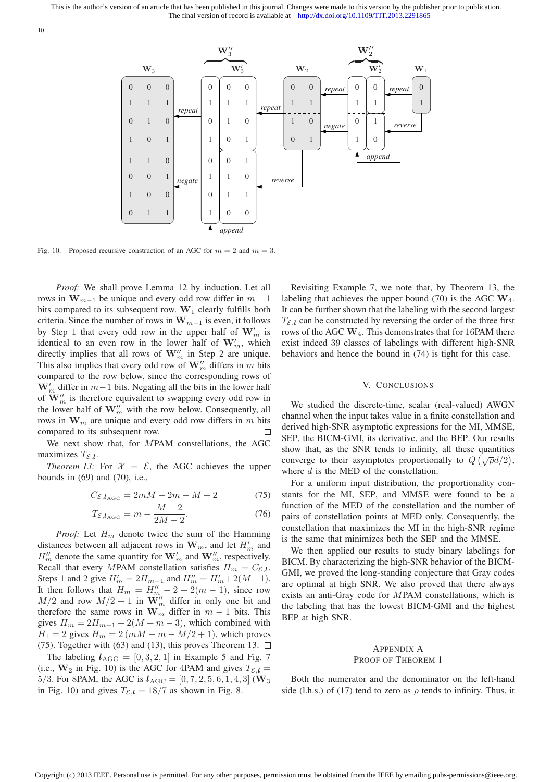

Fig. 10. Proposed recursive construction of an AGC for  $m = 2$  and  $m = 3$ .

*Proof:* We shall prove Lemma 12 by induction. Let all rows in  $W_{m-1}$  be unique and every odd row differ in  $m-1$ bits compared to its subsequent row.  $W_1$  clearly fulfills both criteria. Since the number of rows in  $W_{m-1}$  is even, it follows by Step 1 that every odd row in the upper half of  $\mathbf{W}'_m$  is identical to an even row in the lower half of  $W'_m$ , which directly implies that all rows of  $\mathbf{W}'_m$  in Step 2 are unique. This also implies that every odd row of  $\mathbf{W}''_m$  differs in m bits compared to the row below, since the corresponding rows of  $W'_m$  differ in  $m-1$  bits. Negating all the bits in the lower half of  $\mathbf{W}''_m$  is therefore equivalent to swapping every odd row in the lower half of  $\mathbf{W}'_m$  with the row below. Consequently, all rows in  $\mathbf{W}_m$  are unique and every odd row differs in m bits compared to its subsequent row.  $\Box$ 

We next show that, for MPAM constellations, the AGC maximizes  $T_{\mathcal{E},\mathbf{l}}$ .

*Theorem 13:* For  $\mathcal{X} = \mathcal{E}$ , the AGC achieves the upper bounds in (69) and (70), i.e.,

$$
C_{\mathcal{E},l_{\text{AGC}}} = 2mM - 2m - M + 2 \tag{75}
$$

$$
T_{\mathcal{E},l_{\text{AGC}}} = m - \frac{M-2}{2M-2}.\tag{76}
$$

*Proof:* Let  $H_m$  denote twice the sum of the Hamming distances between all adjacent rows in  $\mathbf{W}_m$ , and let  $H'_m$  and  $H''_m$  denote the same quantity for  $\mathbf{W}'_m$  and  $\mathbf{W}''_m$ , respectively. Recall that every MPAM constellation satisfies  $H_m = C_{\mathcal{E},l}$ . Steps 1 and 2 give  $H'_m = 2H_{m-1}$  and  $H''_m = H'_m + 2(M-1)$ . It then follows that  $H_m = H''_m - 2 + 2(m - 1)$ , since row  $M/2$  and row  $M/2 + 1$  in  $\mathbf{W}_{m}''$  differ in only one bit and therefore the same rows in  $\mathbf{W}_m$  differ in  $m-1$  bits. This gives  $H_m = 2H_{m-1} + 2(M + m - 3)$ , which combined with  $H_1 = 2$  gives  $H_m = 2(mM - m - M/2 + 1)$ , which proves (75). Together with (63) and (13), this proves Theorem 13.  $\Box$ 

The labeling  $l_{\text{AGC}} = [0, 3, 2, 1]$  in Example 5 and Fig. 7 (i.e.,  $W_2$  in Fig. 10) is the AGC for 4PAM and gives  $T_{\mathcal{E},l}$  = 5/3. For 8PAM, the AGC is  $l_{\text{AGC}} = [0, 7, 2, 5, 6, 1, 4, 3]$  (W<sub>3</sub> in Fig. 10) and gives  $T_{\mathcal{E},l} = 18/7$  as shown in Fig. 8.

Revisiting Example 7, we note that, by Theorem 13, the labeling that achieves the upper bound (70) is the AGC  $W_4$ . It can be further shown that the labeling with the second largest  $T_{\mathcal{E},l}$  can be constructed by reversing the order of the three first rows of the AGC  $W_4$ . This demonstrates that for 16PAM there exist indeed 39 classes of labelings with different high-SNR behaviors and hence the bound in (74) is tight for this case.

### V. CONCLUSIONS

We studied the discrete-time, scalar (real-valued) AWGN channel when the input takes value in a finite constellation and derived high-SNR asymptotic expressions for the MI, MMSE, SEP, the BICM-GMI, its derivative, and the BEP. Our results show that, as the SNR tends to infinity, all these quantities converge to their asymptotes proportionally to  $Q(\sqrt{\rho}d/2)$ , where  $d$  is the MED of the constellation.

For a uniform input distribution, the proportionality constants for the MI, SEP, and MMSE were found to be a function of the MED of the constellation and the number of pairs of constellation points at MED only. Consequently, the constellation that maximizes the MI in the high-SNR regime is the same that minimizes both the SEP and the MMSE.

We then applied our results to study binary labelings for BICM. By characterizing the high-SNR behavior of the BICM-GMI, we proved the long-standing conjecture that Gray codes are optimal at high SNR. We also proved that there always exists an anti-Gray code for MPAM constellations, which is the labeling that has the lowest BICM-GMI and the highest BEP at high SNR.

# APPENDIX A PROOF OF THEOREM 1

Both the numerator and the denominator on the left-hand side (l.h.s.) of (17) tend to zero as  $\rho$  tends to infinity. Thus, it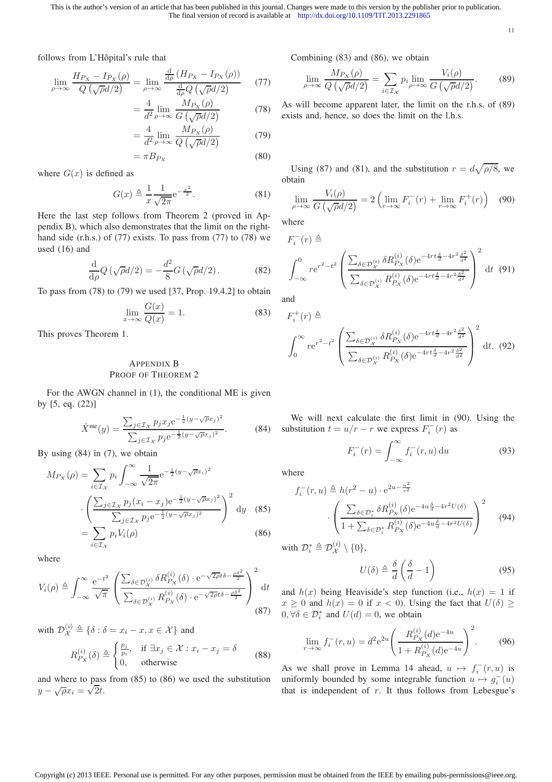11

follows from L'Hôpital's rule that

$$
\lim_{\rho \to \infty} \frac{H_{P_X} - I_{P_X}(\rho)}{Q\left(\sqrt{\rho}d/2\right)} = \lim_{\rho \to \infty} \frac{\frac{d}{d\rho} \left(H_{P_X} - I_{P_X}(\rho)\right)}{\frac{d}{d\rho} Q\left(\sqrt{\rho}d/2\right)}\tag{77}
$$

$$
= \frac{4}{d^2} \lim_{\rho \to \infty} \frac{M_{P_X}(\rho)}{G\left(\sqrt{\rho}d/2\right)}\tag{78}
$$

$$
= \frac{4}{d^2} \lim_{\rho \to \infty} \frac{M_{P_X}(\rho)}{Q\left(\sqrt{\rho}d/2\right)}\tag{79}
$$

$$
= \pi B_{P_X} \tag{80}
$$

where  $G(x)$  is defined as

$$
G(x) \triangleq \frac{1}{x} \frac{1}{\sqrt{2\pi}} e^{-\frac{x^2}{2}}.
$$
 (81)

Here the last step follows from Theorem 2 (proved in Appendix B), which also demonstrates that the limit on the righthand side (r.h.s.) of (77) exists. To pass from (77) to (78) we used (16) and

$$
\frac{\mathrm{d}}{\mathrm{d}\rho}Q\left(\sqrt{\rho}d/2\right) = -\frac{d^2}{8}G\left(\sqrt{\rho}d/2\right). \tag{82}
$$

To pass from (78) to (79) we used [37, Prop. 19.4.2] to obtain

$$
\lim_{x \to \infty} \frac{G(x)}{Q(x)} = 1.
$$
\n(83)

This proves Theorem 1.

# APPENDIX B PROOF OF THEOREM 2

For the AWGN channel in (1), the conditional ME is given by [5, eq. (22)]

$$
\hat{X}^{\text{me}}(y) = \frac{\sum_{j \in \mathcal{I}_{\mathcal{X}}} p_j x_j e^{-\frac{1}{2}(y - \sqrt{\rho} x_j)^2}}{\sum_{j \in \mathcal{I}_{\mathcal{X}}} p_j e^{-\frac{1}{2}(y - \sqrt{\rho} x_j)^2}}.
$$
(84)

By using (84) in (7), we obtain

$$
M_{P_X}(\rho) = \sum_{i \in \mathcal{I}_X} p_i \int_{-\infty}^{\infty} \frac{1}{\sqrt{2\pi}} e^{-\frac{1}{2}(y - \sqrt{\rho}x_i)^2}
$$

$$
\cdot \left( \frac{\sum_{j \in \mathcal{I}_X} p_j (x_i - x_j) e^{-\frac{1}{2}(y - \sqrt{\rho}x_j)^2}}{\sum_{j \in \mathcal{I}_X} p_j e^{-\frac{1}{2}(y - \sqrt{\rho}x_j)^2}} \right)^2 dy \quad (85)
$$

$$
= \sum_{i \in \mathcal{I}_X} p_i V_i(\rho) \quad (86)
$$

$$
= \sum_{i \in \mathcal{I}_{\mathcal{X}}} p_i V_i(\rho)
$$

where

$$
V_i(\rho) \triangleq \int_{-\infty}^{\infty} \frac{e^{-t^2}}{\sqrt{\pi}} \left( \frac{\sum_{\delta \in \mathcal{D}_{\mathcal{X}}^{(i)}} \delta R_{P_{\mathcal{X}}}^{(i)}(\delta) \cdot e^{-\sqrt{2\rho}t\delta - \frac{\rho \delta^2}{2}}}{\sum_{\delta \in \mathcal{D}_{\mathcal{X}}^{(i)}} R_{P_{\mathcal{X}}}^{(i)}(\delta) \cdot e^{-\sqrt{2\rho}t\delta - \frac{\rho \delta^2}{2}}} \right)^2 dt
$$
(87)

with  $\mathcal{D}_{\mathcal{X}}^{(i)} \triangleq \{\delta : \delta = x_i - x, x \in \mathcal{X}\}\)$  and

$$
R_{P_X}^{(i)}(\delta) \triangleq \begin{cases} \frac{p_j}{p_i}, & \text{if } \exists x_j \in \mathcal{X} : x_i - x_j = \delta \\ 0, & \text{otherwise} \end{cases} \tag{88}
$$

and where to pass from (85) to (86) we used the substitution  $y - \sqrt{\rho}x_i = \sqrt{2}t.$ 

Combining (83) and (86), we obtain

$$
\lim_{\rho \to \infty} \frac{M_{P_X}(\rho)}{Q\left(\sqrt{\rho}d/2\right)} = \sum_{i \in \mathcal{I}_X} p_i \lim_{\rho \to \infty} \frac{V_i(\rho)}{G\left(\sqrt{\rho}d/2\right)}. \tag{89}
$$

As will become apparent later, the limit on the r.h.s. of (89) exists and, hence, so does the limit on the l.h.s.

Using (87) and (81), and the substitution  $r = d\sqrt{\rho/8}$ , we obtain

$$
\lim_{\rho \to \infty} \frac{V_i(\rho)}{G\left(\sqrt{\rho}d/2\right)} = 2\left(\lim_{r \to \infty} F_i^-(r) + \lim_{r \to \infty} F_i^+(r)\right) \tag{90}
$$

where

$$
F_i^-(r) \triangleq
$$
\n
$$
\int_{-\infty}^0 r e^{r^2 - t^2} \left( \frac{\sum_{\delta \in \mathcal{D}_X^{(i)}} \delta R_{P_X}^{(i)}(\delta) e^{-4rt\frac{\delta}{d} - 4r^2 \frac{\delta^2}{d^2}}}{\sum_{\delta \in \mathcal{D}_X^{(i)}} R_{P_X}^{(i)}(\delta) e^{-4rt\frac{\delta}{d} - 4r^2 \frac{\delta^2}{d^2}}} \right)^2 dt \quad (91)
$$

and

$$
F_i^+(r) \triangleq \int_0^\infty r e^{r^2 - t^2} \left( \frac{\sum_{\delta \in \mathcal{D}_{\mathcal{X}}^{(i)}} \delta R_{P_{\mathcal{X}}}^{(i)}(\delta) e^{-4rt \frac{\delta}{d} - 4r^2 \frac{\delta^2}{d^2}}}{\sum_{\delta \in \mathcal{D}_{\mathcal{X}}^{(i)}} R_{P_{\mathcal{X}}}^{(i)}(\delta) e^{-4rt \frac{\delta}{d} - 4r^2 \frac{\delta^2}{d^2}}} \right)^2 dt. \tag{92}
$$

We will next calculate the first limit in (90). Using the substitution  $t = u/r - r$  we express  $F_i^-(r)$  as

$$
F_i^-(r) = \int_{-\infty}^{\infty} f_i^-(r, u) \, \mathrm{d}u \tag{93}
$$

where

$$
f_i^-(r, u) \triangleq h(r^2 - u) \cdot e^{2u - \frac{u^2}{r^2}}
$$

$$
\cdot \left( \frac{\sum_{\delta \in \mathcal{D}_i^*} \delta R_{P_X}^{(i)}(\delta) e^{-4u \frac{\delta}{d} - 4r^2 U(\delta)}}{1 + \sum_{\delta \in \mathcal{D}_i^*} R_{P_X}^{(i)}(\delta) e^{-4u \frac{\delta}{d} - 4r^2 U(\delta)}} \right)^2 \tag{94}
$$

with  $\mathcal{D}_i^* \triangleq \mathcal{D}_{\mathcal{X}}^{(i)}$  $\chi^{(i)}$  \ {0},

$$
U(\delta) \triangleq \frac{\delta}{d} \left( \frac{\delta}{d} - 1 \right) \tag{95}
$$

and  $h(x)$  being Heaviside's step function (i.e.,  $h(x) = 1$  if  $x \ge 0$  and  $h(x) = 0$  if  $x < 0$ ). Using the fact that  $U(\delta) \ge$  $0, \forall \delta \in \mathcal{D}_{i}^{*}$  and  $U(d) = 0$ , we obtain

$$
\lim_{r \to \infty} f_i^-(r, u) = d^2 e^{2u} \left( \frac{R_{P_X}^{(i)}(d) e^{-4u}}{1 + R_{P_X}^{(i)}(d) e^{-4u}} \right)^2.
$$
 (96)

As we shall prove in Lemma 14 ahead,  $u \mapsto f_i^-(r, u)$  is uniformly bounded by some integrable function  $u \mapsto g_i^-(u)$ that is independent of  $r$ . It thus follows from Lebesgue's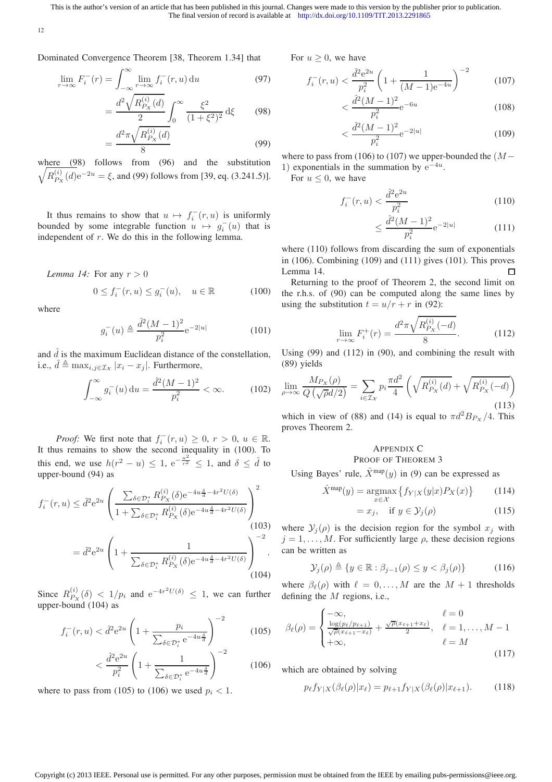12

Dominated Convergence Theorem [38, Theorem 1.34] that

$$
\lim_{r \to \infty} F_i^-(r) = \int_{-\infty}^{\infty} \lim_{r \to \infty} f_i^-(r, u) \, \mathrm{d}u \tag{97}
$$

$$
= \frac{d^2 \sqrt{R_{P_X}^{(i)}(d)}}{2} \int_0^\infty \frac{\xi^2}{(1+\xi^2)^2} d\xi \qquad (98)
$$

$$
=\frac{d^2\pi\sqrt{R_{P_X}^{(i)}(d)}}{8}\tag{99}
$$

where (98) follows from (96) and the substitution  $\sqrt{R_{P_{\rm{v}}}^{(i)}}$  $P_X^{(i)}(d)e^{-2u} = \xi$ , and (99) follows from [39, eq. (3.241.5)].

It thus remains to show that  $u \mapsto f_i^-(r, u)$  is uniformly bounded by some integrable function  $u \mapsto g_i^-(u)$  that is independent of r. We do this in the following lemma.

*Lemma 14:* For any  $r > 0$ 

$$
0 \le f_i^-(r, u) \le g_i^-(u), \quad u \in \mathbb{R}
$$
 (100)

where

$$
g_i^-(u) \triangleq \frac{\hat{d}^2 (M-1)^2}{p_i^2} e^{-2|u|}
$$
 (101)

and  $\hat{d}$  is the maximum Euclidean distance of the constellation, i.e.,  $\hat{d} \triangleq \max_{i,j \in \mathcal{I}_{\mathcal{X}}} |x_i - x_j|$ . Furthermore,

$$
\int_{-\infty}^{\infty} g_i^-(u) \, \mathrm{d}u = \frac{\hat{d}^2 (M-1)^2}{p_i^2} < \infty. \tag{102}
$$

*Proof:* We first note that  $f_i^-(r, u) \ge 0, r > 0, u \in \mathbb{R}$ . It thus remains to show the second inequality in (100). To this end, we use  $h(r^2 - u) \le 1$ ,  $e^{-\frac{u^2}{r^2}} \le 1$ , and  $\delta \le \hat{d}$  to upper-bound (94) as

$$
f_i^-(r, u) \leq \hat{d}^2 e^{2u} \left( \frac{\sum_{\delta \in \mathcal{D}_i^*} R_{P_X}^{(i)}(\delta) e^{-4u \frac{\delta}{d} - 4r^2 U(\delta)}}{1 + \sum_{\delta \in \mathcal{D}_i^*} R_{P_X}^{(i)}(\delta) e^{-4u \frac{\delta}{d} - 4r^2 U(\delta)}} \right)^2
$$
  
= 
$$
\hat{d}^2 e^{2u} \left( 1 + \frac{1}{\sum_{\delta \in \mathcal{D}_i^*} R_{P_X}^{(i)}(\delta) e^{-4u \frac{\delta}{d} - 4r^2 U(\delta)}} \right)^{-2}.
$$
 (103)

Since  $R_{P_{\rm{v}}}^{(i)}$  $P_X^{(i)}(\delta) < 1/p_i$  and  $e^{-4r^2U(\delta)} \leq 1$ , we can further upper-bound (104) as

$$
f_i^-(r, u) < \hat{d}^2 e^{2u} \left( 1 + \frac{p_i}{\sum_{\delta \in \mathcal{D}_i^*} e^{-4u \frac{\delta}{d}}} \right)^{-2} \tag{105}
$$

$$
\langle \frac{\hat{d}^2 e^{2u}}{p_i^2} \left( 1 + \frac{1}{\sum_{\delta \in \mathcal{D}_i^*} e^{-4u \frac{\delta}{d}}} \right)^{-2} \tag{106}
$$

where to pass from (105) to (106) we used  $p_i < 1$ .

For  $u > 0$ , we have

$$
f_i^-(r,u) < \frac{\hat{d}^2 e^{2u}}{p_i^2} \left(1 + \frac{1}{(M-1)e^{-4u}}\right)^{-2} \tag{107}
$$

$$
< \frac{\hat{d}^2 (M-1)^2}{p_i^2} e^{-6u}
$$
 (108)

$$
<\frac{\hat{d}^2(M-1)^2}{p_i^2}e^{-2|u|}\tag{109}
$$

where to pass from (106) to (107) we upper-bounded the  $(M−$ 1) exponentials in the summation by  $e^{-4u}$ .

For  $u \leq 0$ , we have

$$
f_i^-(r, u) < \frac{\hat{d}^2 e^{2u}}{p_i^2} \tag{110}
$$

$$
\leq \frac{\hat{d}^2 (M-1)^2}{p_i^2} e^{-2|u|} \tag{111}
$$

where (110) follows from discarding the sum of exponentials in (106). Combining (109) and (111) gives (101). This proves Lemma 14.  $\Box$ 

Returning to the proof of Theorem 2, the second limit on the r.h.s. of (90) can be computed along the same lines by using the substitution  $t = u/r + r$  in (92):

$$
\lim_{r \to \infty} F_i^+(r) = \frac{d^2 \pi \sqrt{R_{P_X}^{(i)}(-d)}}{8}.
$$
\n(112)

Using (99) and (112) in (90), and combining the result with (89) yields

$$
\lim_{\rho \to \infty} \frac{M_{P_X}(\rho)}{Q(\sqrt{\rho}d/2)} = \sum_{i \in \mathcal{I}_X} p_i \frac{\pi d^2}{4} \left( \sqrt{R_{P_X}^{(i)}(d)} + \sqrt{R_{P_X}^{(i)}(-d)} \right)
$$
(113)

which in view of (88) and (14) is equal to  $\pi d^2 B_{P_X}/4$ . This proves Theorem 2.

# APPENDIX C PROOF OF THEOREM 3

Using Bayes' rule,  $\hat{X}^{\text{map}}(y)$  in (9) can be expressed as

$$
\hat{X}^{\text{map}}(y) = \underset{x \in \mathcal{X}}{\operatorname{argmax}} \left\{ f_{Y|X}(y|x) P_X(x) \right\} \tag{114}
$$

$$
= x_j, \quad \text{if } y \in \mathcal{Y}_j(\rho) \tag{115}
$$

where  $\mathcal{Y}_j(\rho)$  is the decision region for the symbol  $x_j$  with  $j = 1, \ldots, M$ . For sufficiently large  $\rho$ , these decision regions can be written as

$$
\mathcal{Y}_j(\rho) \triangleq \{ y \in \mathbb{R} : \beta_{j-1}(\rho) \le y < \beta_j(\rho) \} \tag{116}
$$

where  $\beta_{\ell}(\rho)$  with  $\ell = 0, \ldots, M$  are the  $M + 1$  thresholds defining the M regions, i.e.,

$$
\beta_{\ell}(\rho) = \begin{cases}\n-\infty, & \ell = 0 \\
\frac{\log(p_{\ell}/p_{\ell+1})}{\sqrt{\rho}(\alpha_{\ell+1} - \alpha_{\ell})} + \frac{\sqrt{\rho}(\alpha_{\ell+1} + \alpha_{\ell})}{2}, & \ell = 1, \dots, M - 1 \\
+\infty, & \ell = M\n\end{cases}
$$
\n(117)

which are obtained by solving

$$
p_{\ell}f_{Y|X}(\beta_{\ell}(\rho)|x_{\ell}) = p_{\ell+1}f_{Y|X}(\beta_{\ell}(\rho)|x_{\ell+1}). \tag{118}
$$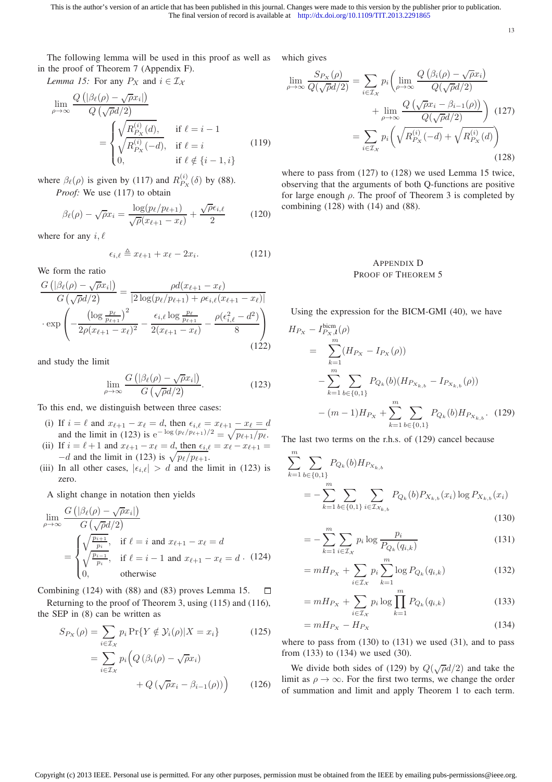13

The following lemma will be used in this proof as well as in the proof of Theorem 7 (Appendix F).

*Lemma 15:* For any  $P_X$  and  $i \in \mathcal{I_X}$ 

$$
\lim_{\rho \to \infty} \frac{Q\left(|\beta_{\ell}(\rho) - \sqrt{\rho}x_i|\right)}{Q\left(\sqrt{\rho}d/2\right)}
$$
\n
$$
= \begin{cases}\n\sqrt{R_{P_X}^{(i)}(d)}, & \text{if } \ell = i - 1 \\
\sqrt{R_{P_X}^{(i)}(-d)}, & \text{if } \ell = i \\
0, & \text{if } \ell \notin \{i - 1, i\}\n\end{cases}
$$
\n(119)

where  $\beta_{\ell}(\rho)$  is given by (117) and  $R_{P_{\rm x}}^{(i)}$  $P_X^{(i)}(\delta)$  by (88). *Proof:* We use (117) to obtain

$$
\beta_{\ell}(\rho) - \sqrt{\rho}x_i = \frac{\log(p_{\ell}/p_{\ell+1})}{\sqrt{\rho}(x_{\ell+1} - x_{\ell})} + \frac{\sqrt{\rho}\epsilon_{i,\ell}}{2}
$$
(120)

where for any  $i, \ell$ 

$$
\epsilon_{i,\ell} \triangleq x_{\ell+1} + x_{\ell} - 2x_i. \tag{121}
$$

We form the ratio

$$
\frac{G\left(|\beta_{\ell}(\rho) - \sqrt{\rho}x_{i}|\right)}{G\left(\sqrt{\rho}d/2\right)} = \frac{\rho d(x_{\ell+1} - x_{\ell})}{|2\log(p_{\ell}/p_{\ell+1}) + \rho \epsilon_{i,\ell}(x_{\ell+1} - x_{\ell})|}
$$

$$
\cdot \exp\left(-\frac{\left(\log\frac{p_{\ell}}{p_{\ell+1}}\right)^{2}}{2\rho(x_{\ell+1} - x_{\ell})^{2}} - \frac{\epsilon_{i,\ell}\log\frac{p_{\ell}}{p_{\ell+1}}}{2(x_{\ell+1} - x_{\ell})} - \frac{\rho(\epsilon_{i,\ell}^{2} - d^{2})}{8}\right)
$$
(122)

and study the limit

$$
\lim_{\rho \to \infty} \frac{G\left( |\beta_{\ell}(\rho) - \sqrt{\rho} x_i| \right)}{G\left(\sqrt{\rho} d/2\right)}.
$$
\n(123)

To this end, we distinguish between three cases:

- (i) If  $i = \ell$  and  $x_{\ell+1} x_{\ell} = d$ , then  $\epsilon_{i,\ell} = x_{\ell+1} x_{\ell} = d$ and the limit in (123) is  $e^{-\log(p_\ell/p_{\ell+1})/2} = \sqrt{p_{\ell+1}/p_\ell}$ .
- (ii) If  $i = \ell + 1$  and  $x_{\ell+1} x_{\ell} = d$ , then  $\epsilon_{i,\ell} = x_{\ell} x_{\ell+1} =$  $-d$  and the limit in (123) is  $\sqrt{p_{\ell}/p_{\ell+1}}$ .
- (iii) In all other cases,  $|\epsilon_{i,\ell}| > d$  and the limit in (123) is zero.

A slight change in notation then yields

$$
\lim_{\rho \to \infty} \frac{G\left(|\beta_{\ell}(\rho) - \sqrt{\rho} x_i|\right)}{G\left(\sqrt{\rho}d/2\right)}
$$
\n
$$
= \begin{cases} \sqrt{\frac{p_{i+1}}{p_i}}, & \text{if } \ell = i \text{ and } x_{\ell+1} - x_{\ell} = d\\ \sqrt{\frac{p_{i-1}}{p_i}}, & \text{if } \ell = i - 1 \text{ and } x_{\ell+1} - x_{\ell} = d \quad (124)\\ 0, & \text{otherwise} \end{cases}
$$

Combining (124) with (88) and (83) proves Lemma 15.  $\Box$ Returning to the proof of Theorem 3, using (115) and (116),

the SEP in (8) can be written as  $S_{P_X}(\rho) = \sum p_i \Pr\{Y \notin \mathcal{Y}_i(\rho) | X = x_i\}$  (125)

$$
= \sum_{i \in \mathcal{I}_{\mathcal{X}}} p_i \Big( Q \left( \beta_i(\rho) - \sqrt{\rho} x_i \right) + Q \left( \sqrt{\rho} x_i - \beta_{i-1}(\rho) \right) \Big) \tag{126}
$$

which gives

$$
\lim_{\rho \to \infty} \frac{S_{P_X}(\rho)}{Q(\sqrt{\rho}d/2)} = \sum_{i \in \mathcal{I}_X} p_i \left( \lim_{\rho \to \infty} \frac{Q(\beta_i(\rho) - \sqrt{\rho}x_i)}{Q(\sqrt{\rho}d/2)} + \lim_{\rho \to \infty} \frac{Q(\sqrt{\rho}x_i - \beta_{i-1}(\rho))}{Q(\sqrt{\rho}d/2)} \right) (127)
$$
\n
$$
= \sum_{i \in \mathcal{I}_X} p_i \left( \sqrt{R_{P_X}^{(i)}(-d)} + \sqrt{R_{P_X}^{(i)}(d)} \right) (128)
$$

where to pass from (127) to (128) we used Lemma 15 twice, observing that the arguments of both Q-functions are positive for large enough  $\rho$ . The proof of Theorem 3 is completed by combining (128) with (14) and (88).

# APPENDIX D PROOF OF THEOREM 5

Using the expression for the BICM-GMI (40), we have

bicm

$$
H_{Px} - I_{Px, l}^{\text{bcm}}(\rho)
$$
  
= 
$$
\sum_{k=1}^{m} (H_{Px} - I_{Px}(\rho))
$$
  

$$
- \sum_{k=1}^{m} \sum_{b \in \{0,1\}} P_{Q_k}(b) (H_{Px_{k,b}} - I_{Px_{k,b}}(\rho))
$$
  

$$
- (m-1)H_{Px} + \sum_{k=1}^{m} \sum_{b \in \{0,1\}} P_{Q_k}(b) H_{Px_{k,b}}.
$$
 (129)

The last two terms on the r.h.s. of (129) cancel because

$$
\sum_{k=1}^{m} \sum_{b \in \{0,1\}} P_{Q_k}(b) H_{P_{X_{k,b}}} \n= - \sum_{k=1}^{m} \sum_{b \in \{0,1\}} \sum_{i \in \mathcal{I}_{X_{k,b}}} P_{Q_k}(b) P_{X_{k,b}}(x_i) \log P_{X_{k,b}}(x_i)
$$
\n(130)

$$
= -\sum_{k=1}^{m} \sum_{i \in \mathcal{I}_{\mathcal{X}}} p_i \log \frac{p_i}{P_{Q_k}(q_{i,k})}
$$
(131)

$$
= mH_{P_X} + \sum_{i \in \mathcal{I}_X} p_i \sum_{k=1}^m \log P_{Q_k}(q_{i,k})
$$
(132)

$$
= mH_{P_X} + \sum_{i \in \mathcal{I}_X} p_i \log \prod_{k=1}^m P_{Q_k}(q_{i,k})
$$
(133)

$$
=mH_{Px} - H_{Px} \tag{134}
$$

where to pass from  $(130)$  to  $(131)$  we used  $(31)$ , and to pass from (133) to (134) we used (30).

We divide both sides of (129) by  $Q(\sqrt{\rho}d/2)$  and take the limit as  $\rho \to \infty$ . For the first two terms, we change the order of summation and limit and apply Theorem 1 to each term.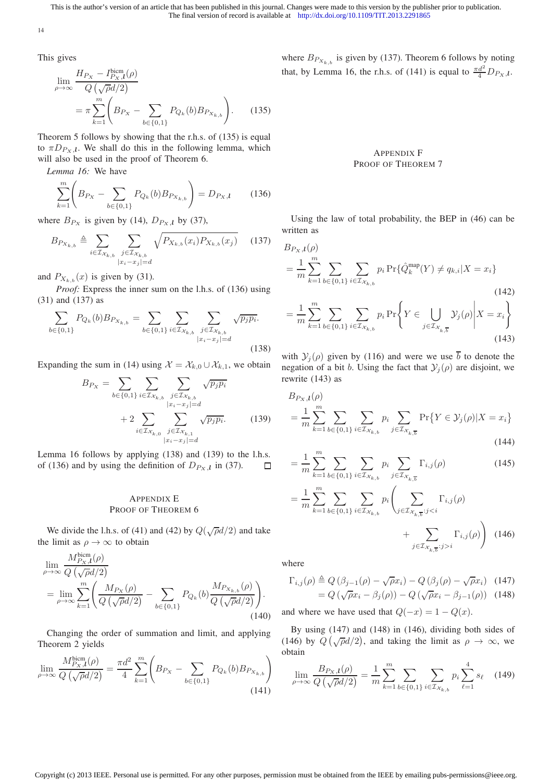14

This gives

$$
\lim_{\rho \to \infty} \frac{H_{P_X} - I_{P_X, l}^{\text{biem}}(\rho)}{Q(\sqrt{\rho}d/2)} = \pi \sum_{k=1}^{m} \left( B_{P_X} - \sum_{b \in \{0, 1\}} P_{Q_k}(b) B_{P_{X_{k, b}}} \right).
$$
 (135)

Theorem 5 follows by showing that the r.h.s. of (135) is equal to  $\pi D_{P_X,l}$ . We shall do this in the following lemma, which will also be used in the proof of Theorem 6.

*Lemma 16:* We have

$$
\sum_{k=1}^{m} \left( B_{P_X} - \sum_{b \in \{0,1\}} P_{Q_k}(b) B_{P_{X_{k,b}}}\right) = D_{P_X,l} \tag{136}
$$

where  $B_{Px}$  is given by (14),  $D_{Px}$ , by (37),

$$
B_{P_{X_{k,b}}} \triangleq \sum_{i \in \mathcal{I}_{X_{k,b}}} \sum_{\substack{j \in \mathcal{I}_{X_{k,b}} \\ |x_i - x_j| = d}} \sqrt{P_{X_{k,b}}(x_i) P_{X_{k,b}}(x_j)} \tag{137}
$$

and  $P_{X_{k,b}}(x)$  is given by (31).

*Proof:* Express the inner sum on the l.h.s. of (136) using (31) and (137) as

$$
\sum_{b \in \{0,1\}} P_{Q_k}(b) B_{P_{X_{k,b}}} = \sum_{b \in \{0,1\}} \sum_{i \in \mathcal{I}_{X_{k,b}}} \sum_{\substack{j \in \mathcal{I}_{X_{k,b}} \\ |x_i - x_j| = d}} \sqrt{p_j p_i}.
$$
\n(138)

Expanding the sum in (14) using  $\mathcal{X} = \mathcal{X}_{k,0} \cup \mathcal{X}_{k,1}$ , we obtain

$$
B_{P_X} = \sum_{b \in \{0,1\}} \sum_{i \in \mathcal{I}_{\mathcal{X}_{k,b}}} \sum_{\substack{j \in \mathcal{I}_{\mathcal{X}_{k,b}} \\ |x_i - x_j| = d}} \sqrt{p_j p_i} + 2 \sum_{i \in \mathcal{I}_{\mathcal{X}_{k,0}}} \sum_{\substack{j \in \mathcal{I}_{\mathcal{X}_{k,1}} \\ |x_i - x_j| = d}} \sqrt{p_j p_i}.
$$
(139)

Lemma 16 follows by applying (138) and (139) to the l.h.s. of (136) and by using the definition of  $D_{P_X,l}$  in (37).  $\Box$ 

# APPENDIX E PROOF OF THEOREM 6

We divide the l.h.s. of (41) and (42) by  $Q(\sqrt{\rho}d/2)$  and take the limit as  $\rho \to \infty$  to obtain

$$
\lim_{\rho \to \infty} \frac{M_{P_X, \mathfrak{l}}^{\text{biem}}(\rho)}{Q\left(\sqrt{\rho}d/2\right)} = \lim_{\rho \to \infty} \sum_{k=1}^m \left( \frac{M_{P_X}(\rho)}{Q\left(\sqrt{\rho}d/2\right)} - \sum_{b \in \{0, 1\}} P_{Q_k}(b) \frac{M_{P_{X_{k,b}}}(\rho)}{Q\left(\sqrt{\rho}d/2\right)} \right). \tag{140}
$$

Changing the order of summation and limit, and applying Theorem 2 yields

$$
\lim_{\rho \to \infty} \frac{M_{P_X, l}^{\text{bicm}}(\rho)}{Q(\sqrt{\rho}d/2)} = \frac{\pi d^2}{4} \sum_{k=1}^{m} \left( B_{P_X} - \sum_{b \in \{0, 1\}} P_{Q_k}(b) B_{P_{X_{k, b}}}\right)
$$
\n(141)

where  $B_{P_{X_{k,b}}}$  is given by (137). Theorem 6 follows by noting that, by Lemma 16, the r.h.s. of (141) is equal to  $\frac{\pi d^2}{4} D_{Px}$ ,

# APPENDIX F PROOF OF THEOREM 7

Using the law of total probability, the BEP in (46) can be written as

$$
B_{P_X, l}(\rho)
$$
\n
$$
= \frac{1}{m} \sum_{k=1}^{m} \sum_{b \in \{0,1\}} \sum_{i \in \mathcal{I}_{X_{k,b}}} p_i \Pr{\hat{Q}_k^{\text{map}}(Y) \neq q_{k,i} | X = x_i}
$$
\n
$$
= \frac{1}{m} \sum_{k=1}^{m} \sum_{b \in \{0,1\}} \sum_{i \in \mathcal{I}_{X_{k,b}}} p_i \Pr{\left\{Y \in \bigcup_{j \in \mathcal{I}_{X_{k,\overline{b}}}} \mathcal{Y}_j(\rho) \middle| X = x_i\right\}}
$$
\n(142)

with  $\mathcal{Y}_i(\rho)$  given by (116) and were we use  $\overline{b}$  to denote the negation of a bit b. Using the fact that  $\mathcal{Y}_i(\rho)$  are disjoint, we rewrite (143) as

$$
B_{P_X,\mathbf{I}}(\rho)
$$
  
=  $\frac{1}{m} \sum_{k=1}^m \sum_{b \in \{0,1\}} \sum_{i \in \mathcal{I}_{\mathcal{X}_{k,b}}} p_i \sum_{j \in \mathcal{I}_{\mathcal{X}_{k,\overline{b}}}} \Pr\{Y \in \mathcal{Y}_j(\rho) | X = x_i\}$  (144)

$$
= \frac{1}{m} \sum_{k=1}^{m} \sum_{b \in \{0,1\}} \sum_{i \in \mathcal{I}_{\mathcal{X}_{k,b}}} p_i \sum_{j \in \mathcal{I}_{\mathcal{X}_{k,\overline{b}}}} \Gamma_{i,j}(\rho) \tag{145}
$$

$$
= \frac{1}{m} \sum_{k=1}^{m} \sum_{b \in \{0,1\}} \sum_{i \in \mathcal{I}_{\mathcal{X}_{k,b}}} p_i \left( \sum_{j \in \mathcal{I}_{\mathcal{X}_{k,\overline{b}}}:j < i} \Gamma_{i,j}(\rho) + \sum_{j \in \mathcal{I}_{\mathcal{X}_{k,\overline{b}}}:j > i} \Gamma_{i,j}(\rho) \right) \tag{146}
$$

where

$$
\Gamma_{i,j}(\rho) \triangleq Q \left(\beta_{j-1}(\rho) - \sqrt{\rho} x_i\right) - Q \left(\beta_j(\rho) - \sqrt{\rho} x_i\right) \quad (147)
$$

$$
= Q \left(\sqrt{\rho} x_i - \beta_j(\rho)\right) - Q \left(\sqrt{\rho} x_i - \beta_{j-1}(\rho)\right) \quad (148)
$$

and where we have used that  $Q(-x) = 1 - Q(x)$ .

By using (147) and (148) in (146), dividing both sides of (146) by  $Q(\sqrt{\rho}d/2)$ , and taking the limit as  $\rho \to \infty$ , we obtain

$$
\lim_{\rho \to \infty} \frac{B_{P_X, l}(\rho)}{Q(\sqrt{\rho}d/2)} = \frac{1}{m} \sum_{k=1}^m \sum_{b \in \{0, 1\}} \sum_{i \in \mathcal{I}_{\mathcal{X}_{k, b}}} p_i \sum_{\ell=1}^4 s_{\ell} \quad (149)
$$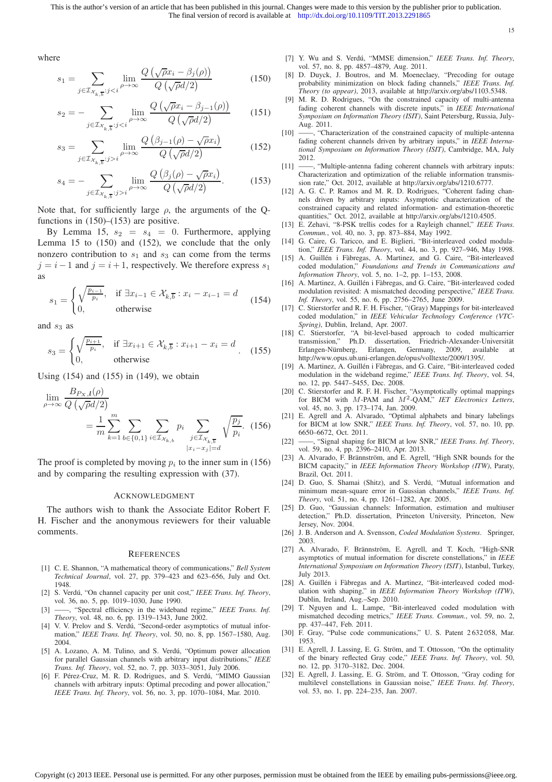15

where

$$
s_1 = \sum_{j \in \mathcal{I}_{\mathcal{X}_{k,\overline{b}}}: j < i} \lim_{\rho \to \infty} \frac{Q\left(\sqrt{\rho}x_i - \beta_j(\rho)\right)}{Q\left(\sqrt{\rho}d/2\right)}\tag{150}
$$

$$
s_2 = -\sum_{j \in \mathcal{I}_{\mathcal{X}_{k,\overline{b}}}:j < i} \lim_{\rho \to \infty} \frac{Q\left(\sqrt{\rho}x_i - \beta_{j-1}(\rho)\right)}{Q\left(\sqrt{\rho}d/2\right)}\tag{151}
$$

$$
s_3 = \sum_{j \in \mathcal{I}_{\mathcal{X}_{k,\overline{b}}}: j > i} \lim_{\rho \to \infty} \frac{Q\left(\beta_{j-1}(\rho) - \sqrt{\rho} x_i\right)}{Q\left(\sqrt{\rho} d/2\right)}\tag{152}
$$

$$
s_4 = -\sum_{j \in \mathcal{I}_{\mathcal{X}_{k,\overline{b}}}: j > i} \lim_{\rho \to \infty} \frac{Q\left(\beta_j(\rho) - \sqrt{\rho} x_i\right)}{Q\left(\sqrt{\rho} d/2\right)}.\tag{153}
$$

Note that, for sufficiently large  $\rho$ , the arguments of the Qfunctions in  $(150)$ – $(153)$  are positive.

By Lemma 15,  $s_2 = s_4 = 0$ . Furthermore, applying Lemma 15 to (150) and (152), we conclude that the only nonzero contribution to  $s_1$  and  $s_3$  can come from the terms  $j = i - 1$  and  $j = i + 1$ , respectively. We therefore express  $s_1$ as

$$
s_1 = \begin{cases} \sqrt{\frac{p_{i-1}}{p_i}}, & \text{if } \exists x_{i-1} \in \mathcal{X}_{k,\overline{b}} : x_i - x_{i-1} = d \\ 0, & \text{otherwise} \end{cases} \tag{154}
$$

and  $s_3$  as

$$
s_3 = \begin{cases} \sqrt{\frac{p_{i+1}}{p_i}}, & \text{if } \exists x_{i+1} \in \mathcal{X}_{k,\overline{b}} : x_{i+1} - x_i = d \\ 0, & \text{otherwise} \end{cases}
$$
 (155)

Using  $(154)$  and  $(155)$  in  $(149)$ , we obtain

$$
\lim_{\rho \to \infty} \frac{B_{P_{X},l}(\rho)}{Q(\sqrt{\rho}d/2)} = \frac{1}{m} \sum_{k=1}^{m} \sum_{b \in \{0,1\}} \sum_{i \in \mathcal{I}_{X_{k,b}}} p_i \sum_{\substack{j \in \mathcal{I}_{X_{k,\overline{b}}}} |j = d} \sqrt{\frac{p_j}{p_i}}. (156)
$$

The proof is completed by moving  $p_i$  to the inner sum in (156) and by comparing the resulting expression with (37).

#### ACKNOWLEDGMENT

The authors wish to thank the Associate Editor Robert F. H. Fischer and the anonymous reviewers for their valuable comments.

#### **REFERENCES**

- [1] C. E. Shannon, "A mathematical theory of communications," *Bell System Technical Journal*, vol. 27, pp. 379–423 and 623–656, July and Oct. 1948.
- [2] S. Verdú, "On channel capacity per unit cost," IEEE Trans. Inf. Theory, vol. 36, no. 5, pp. 1019–1030, June 1990.
- [3] ——, "Spectral efficiency in the wideband regime," *IEEE Trans. Inf. Theory*, vol. 48, no. 6, pp. 1319–1343, June 2002.
- [4] V. V. Prelov and S. Verdú, "Second-order asymptotics of mutual information," *IEEE Trans. Inf. Theory*, vol. 50, no. 8, pp. 1567–1580, Aug. 2004.
- [5] A. Lozano, A. M. Tulino, and S. Verdú, "Optimum power allocation for parallel Gaussian channels with arbitrary input distributions," *IEEE Trans. Inf. Theory*, vol. 52, no. 7, pp. 3033–3051, July 2006.
- [6] F. Pérez-Cruz, M. R. D. Rodrigues, and S. Verdú, "MIMO Gaussian channels with arbitrary inputs: Optimal precoding and power allocation," *IEEE Trans. Inf. Theory*, vol. 56, no. 3, pp. 1070–1084, Mar. 2010.
- [7] Y. Wu and S. Verdú, "MMSE dimension," *IEEE Trans. Inf. Theory*, vol. 57, no. 8, pp. 4857–4879, Aug. 2011.
- [8] D. Duyck, J. Boutros, and M. Moeneclaey, "Precoding for outage probability minimization on block fading channels," *IEEE Trans. Inf. Theory (to appear)*, 2013, available at http://arxiv.org/abs/1103.5348.
- [9] M. R. D. Rodrigues, "On the constrained capacity of multi-antenna fading coherent channels with discrete inputs," in *IEEE International Symposium on Information Theory (ISIT)*, Saint Petersburg, Russia, July-Aug. 2011.
- [10] -, "Characterization of the constrained capacity of multiple-antenna fading coherent channels driven by arbitrary inputs," in *IEEE International Symposium on Information Theory (ISIT)*, Cambridge, MA, July 2012.
- [11] -, "Multiple-antenna fading coherent channels with arbitrary inputs: Characterization and optimization of the reliable information transmission rate," Oct. 2012, available at http://arxiv.org/abs/1210.6777.
- [12] A. G. C. P. Ramos and M. R. D. Rodrigues, "Coherent fading channels driven by arbitrary inputs: Asymptotic characterization of the constrained capacity and related information- and estimation-theoretic quantities," Oct. 2012, available at http://arxiv.org/abs/1210.4505.
- [13] E. Zehavi, "8-PSK trellis codes for a Rayleigh channel," *IEEE Trans. Commun.*, vol. 40, no. 3, pp. 873–884, May 1992.
- [14] G. Caire, G. Taricco, and E. Biglieri, "Bit-interleaved coded modulation," *IEEE Trans. Inf. Theory*, vol. 44, no. 3, pp. 927–946, May 1998.
- [15] A. Guillén i Fàbregas, A. Martinez, and G. Caire, "Bit-interleaved coded modulation," *Foundations and Trends in Communications and Information Theory*, vol. 5, no. 1–2, pp. 1–153, 2008.
- [16] A. Martinez, A. Guillén i Fàbregas, and G. Caire, "Bit-interleaved coded modulation revisited: A mismatched decoding perspective," *IEEE Trans. Inf. Theory*, vol. 55, no. 6, pp. 2756–2765, June 2009.
- [17] C. Stierstorfer and R. F. H. Fischer, "(Gray) Mappings for bit-interleaved coded modulation," in *IEEE Vehicular Technology Conference (VTC-Spring)*, Dublin, Ireland, Apr. 2007.
- [18] C. Stierstorfer, "A bit-level-based approach to coded multicarrier transmission," Ph.D. dissertation, Friedrich-Alexander-Universität Erlangen-Nürnberg, Erlangen, Germany, 2009, available at http://www.opus.ub.uni-erlangen.de/opus/volltexte/2009/1395/.
- [19] A. Martinez, A. Guillén i Fàbregas, and G. Caire, "Bit-interleaved coded modulation in the wideband regime," *IEEE Trans. Inf. Theory*, vol. 54, no. 12, pp. 5447–5455, Dec. 2008.
- [20] C. Stierstorfer and R. F. H. Fischer, "Asymptotically optimal mappings for BICM with M-PAM and M<sup>2</sup>-QAM," *IET Electronics Letters*, vol. 45, no. 3, pp. 173–174, Jan. 2009.
- [21] E. Agrell and A. Alvarado, "Optimal alphabets and binary labelings for BICM at low SNR," *IEEE Trans. Inf. Theory*, vol. 57, no. 10, pp. 6650–6672, Oct. 2011.
- [22] ——, "Signal shaping for BICM at low SNR," *IEEE Trans. Inf. Theory*, vol. 59, no. 4, pp. 2396–2410, Apr. 2013.
- [23] A. Alvarado, F. Brännström, and E. Agrell, "High SNR bounds for the BICM capacity," in *IEEE Information Theory Workshop (ITW)*, Paraty, Brazil, Oct. 2011.
- [24] D. Guo, S. Shamai (Shitz), and S. Verdú, "Mutual information and minimum mean-square error in Gaussian channels," *IEEE Trans. Inf. Theory*, vol. 51, no. 4, pp. 1261–1282, Apr. 2005.
- [25] D. Guo, "Gaussian channels: Information, estimation and multiuser detection," Ph.D. dissertation, Princeton University, Princeton, New Jersey, Nov. 2004.
- [26] J. B. Anderson and A. Svensson, *Coded Modulation Systems*. Springer, 2003.
- [27] A. Alvarado, F. Brännström, E. Agrell, and T. Koch, "High-SNR asymptotics of mutual information for discrete constellations," in *IEEE International Symposium on Information Theory (ISIT)*, Istanbul, Turkey, July 2013.
- [28] A. Guillén i Fàbregas and A. Martinez, "Bit-interleaved coded modulation with shaping," in *IEEE Information Theory Workshop (ITW)*, Dublin, Ireland, Aug.–Sep. 2010.
- [29] T. Nguyen and L. Lampe, "Bit-interleaved coded modulation with mismatched decoding metrics," *IEEE Trans. Commun.*, vol. 59, no. 2, pp. 437–447, Feb. 2011.
- [30] F. Gray, "Pulse code communications," U. S. Patent 2 632 058, Mar. 1953.
- [31] E. Agrell, J. Lassing, E. G. Ström, and T. Ottosson, "On the optimality of the binary reflected Gray code," *IEEE Trans. Inf. Theory*, vol. 50, no. 12, pp. 3170–3182, Dec. 2004.
- [32] E. Agrell, J. Lassing, E. G. Ström, and T. Ottosson, "Gray coding for multilevel constellations in Gaussian noise," *IEEE Trans. Inf. Theory*, vol. 53, no. 1, pp. 224–235, Jan. 2007.